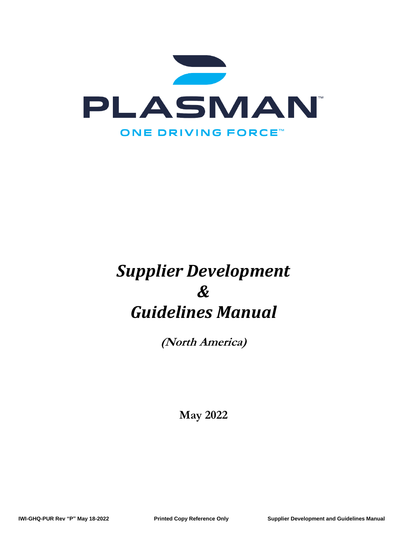

# *Supplier Development & Guidelines Manual*

**(North America)**

**May 2022**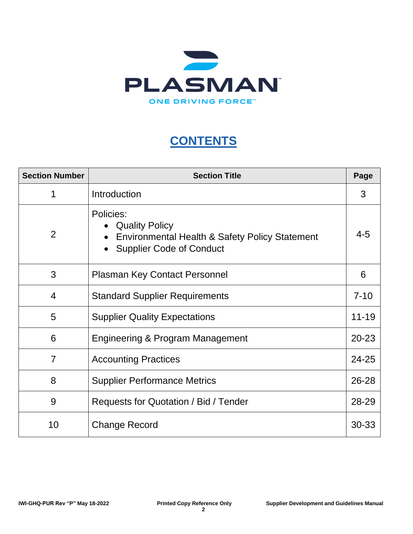

## **CONTENTS**

| <b>Section Number</b> | <b>Section Title</b>                                                                                               | Page    |  |  |  |  |
|-----------------------|--------------------------------------------------------------------------------------------------------------------|---------|--|--|--|--|
| 1                     | Introduction                                                                                                       | 3       |  |  |  |  |
| $\overline{2}$        | Policies:<br>• Quality Policy<br>Environmental Health & Safety Policy Statement<br><b>Supplier Code of Conduct</b> | $4 - 5$ |  |  |  |  |
| 3                     | <b>Plasman Key Contact Personnel</b>                                                                               |         |  |  |  |  |
| $\overline{4}$        | <b>Standard Supplier Requirements</b>                                                                              |         |  |  |  |  |
| 5                     | $11 - 19$<br><b>Supplier Quality Expectations</b>                                                                  |         |  |  |  |  |
| 6                     | <b>Engineering &amp; Program Management</b><br>$20 - 23$                                                           |         |  |  |  |  |
| $\overline{7}$        | 24-25<br><b>Accounting Practices</b>                                                                               |         |  |  |  |  |
| 8                     | $26 - 28$<br><b>Supplier Performance Metrics</b>                                                                   |         |  |  |  |  |
| 9                     | 28-29<br>Requests for Quotation / Bid / Tender                                                                     |         |  |  |  |  |
| 10                    | <b>Change Record</b>                                                                                               | 30-33   |  |  |  |  |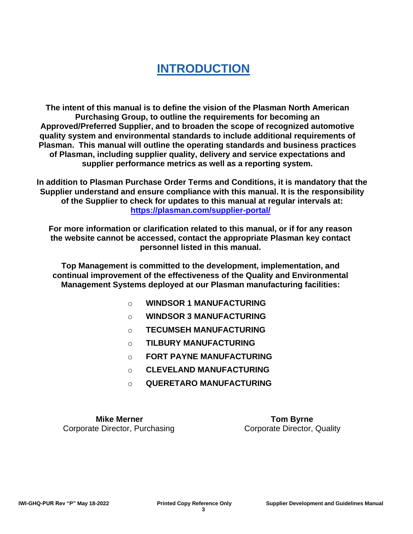## **INTRODUCTION**

**The intent of this manual is to define the vision of the Plasman North American Purchasing Group, to outline the requirements for becoming an Approved/Preferred Supplier, and to broaden the scope of recognized automotive quality system and environmental standards to include additional requirements of Plasman. This manual will outline the operating standards and business practices of Plasman, including supplier quality, delivery and service expectations and supplier performance metrics as well as a reporting system.**

**In addition to Plasman Purchase Order Terms and Conditions, it is mandatory that the Supplier understand and ensure compliance with this manual. It is the responsibility of the Supplier to check for updates to this manual at regular intervals at: <https://plasman.com/supplier-portal/>**

**For more information or clarification related to this manual, or if for any reason the website cannot be accessed, contact the appropriate Plasman key contact personnel listed in this manual.**

**Top Management is committed to the development, implementation, and continual improvement of the effectiveness of the Quality and Environmental Management Systems deployed at our Plasman manufacturing facilities:**

- o **WINDSOR 1 MANUFACTURING**
- o **WINDSOR 3 MANUFACTURING**
- o **TECUMSEH MANUFACTURING**
- o **TILBURY MANUFACTURING**
- o **FORT PAYNE MANUFACTURING**
- o **CLEVELAND MANUFACTURING**
- o **QUERETARO MANUFACTURING**

**Mike Merner Communist Communist Communist Communist Communist Communist Communist Communist Communist Communist Communist Communist Communist Communist Communist Communist Communist Communist Communist Communist Communist Corporate Director, Purchasing Corporate Director, Quality**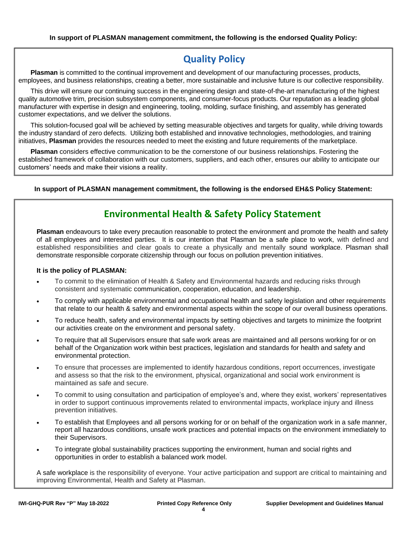## **Quality Policy**

**Plasman** is committed to the continual improvement and development of our manufacturing processes, products, employees, and business relationships, creating a better, more sustainable and inclusive future is our collective responsibility.

This drive will ensure our continuing success in the engineering design and state-of-the-art manufacturing of the highest quality automotive trim, precision subsystem components, and consumer-focus products. Our reputation as a leading global manufacturer with expertise in design and engineering, tooling, molding, surface finishing, and assembly has generated customer expectations, and we deliver the solutions.

This solution-focused goal will be achieved by setting measurable objectives and targets for quality, while driving towards the industry standard of zero defects. Utilizing both established and innovative technologies, methodologies, and training initiatives, **Plasman** provides the resources needed to meet the existing and future requirements of the marketplace.

**Plasman** considers effective communication to be the cornerstone of our business relationships. Fostering the established framework of collaboration with our customers, suppliers, and each other, ensures our ability to anticipate our customers' needs and make their visions a reality.

**In support of PLASMAN management commitment, the following is the endorsed EH&S Policy Statement:**

## **Environmental Health & Safety Policy Statement**

**Plasman** endeavours to take every precaution reasonable to protect the environment and promote the health and safety of all employees and interested parties. It is our intention that Plasman be a safe place to work, with defined and established responsibilities and clear goals to create a physically and mentally sound workplace. Plasman shall demonstrate responsible corporate citizenship through our focus on pollution prevention initiatives.

#### **It is the policy of PLASMAN:**

- To commit to the elimination of Health & Safety and Environmental hazards and reducing risks through consistent and systematic communication, cooperation, education, and leadership.
- To comply with applicable environmental and occupational health and safety legislation and other requirements that relate to our health & safety and environmental aspects within the scope of our overall business operations.
- To reduce health, safety and environmental impacts by setting objectives and targets to minimize the footprint our activities create on the environment and personal safety.
- To require that all Supervisors ensure that safe work areas are maintained and all persons working for or on behalf of the Organization work within best practices, legislation and standards for health and safety and environmental protection.
- To ensure that processes are implemented to identify hazardous conditions, report occurrences, investigate and assess so that the risk to the environment, physical, organizational and social work environment is maintained as safe and secure.
- To commit to using consultation and participation of employee's and, where they exist, workers' representatives in order to support continuous improvements related to environmental impacts, workplace injury and illness prevention initiatives.
- To establish that Employees and all persons working for or on behalf of the organization work in a safe manner, report all hazardous conditions, unsafe work practices and potential impacts on the environment immediately to their Supervisors.
- To integrate global sustainability practices supporting the environment, human and social rights and opportunities in order to establish a balanced work model.

A safe workplace is the responsibility of everyone. Your active participation and support are critical to maintaining and improving Environmental, Health and Safety at Plasman.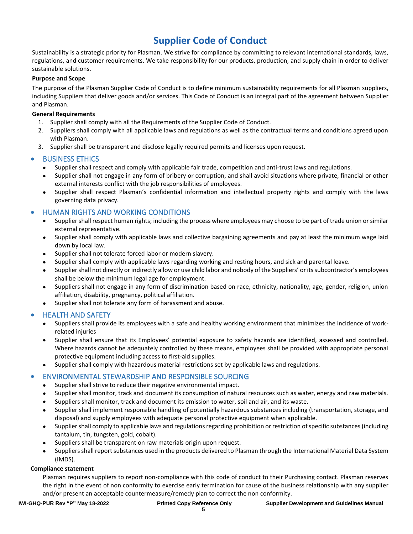## **Supplier Code of Conduct**

Sustainability is a strategic priority for Plasman. We strive for compliance by committing to relevant international standards, laws, regulations, and customer requirements. We take responsibility for our products, production, and supply chain in order to deliver sustainable solutions.

#### **Purpose and Scope**

The purpose of the Plasman Supplier Code of Conduct is to define minimum sustainability requirements for all Plasman suppliers, including Suppliers that deliver goods and/or services. This Code of Conduct is an integral part of the agreement between Supplier and Plasman.

#### **General Requirements**

- 1. Supplier shall comply with all the Requirements of the Supplier Code of Conduct.
- 2. Suppliers shall comply with all applicable laws and regulations as well as the contractual terms and conditions agreed upon with Plasman.
- 3. Supplier shall be transparent and disclose legally required permits and licenses upon request.

#### • BUSINESS ETHICS

- Supplier shall respect and comply with applicable fair trade, competition and anti-trust laws and regulations.
- Supplier shall not engage in any form of bribery or corruption, and shall avoid situations where private, financial or other external interests conflict with the job responsibilities of employees.
- Supplier shall respect Plasman's confidential information and intellectual property rights and comply with the laws governing data privacy.

#### • HUMAN RIGHTS AND WORKING CONDITIONS

- Supplier shall respect human rights; including the process where employees may choose to be part of trade union or similar external representative.
- Supplier shall comply with applicable laws and collective bargaining agreements and pay at least the minimum wage laid down by local law.
- Supplier shall not tolerate forced labor or modern slavery.
- Supplier shall comply with applicable laws regarding working and resting hours, and sick and parental leave.
- Supplier shall not directly or indirectly allow or use child labor and nobody of the Suppliers' or its subcontractor's employees shall be below the minimum legal age for employment.
- Suppliers shall not engage in any form of discrimination based on race, ethnicity, nationality, age, gender, religion, union affiliation, disability, pregnancy, political affiliation.
- Supplier shall not tolerate any form of harassment and abuse.

#### • HEALTH AND SAFETY

- Suppliers shall provide its employees with a safe and healthy working environment that minimizes the incidence of workrelated injuries
- Supplier shall ensure that its Employees' potential exposure to safety hazards are identified, assessed and controlled. Where hazards cannot be adequately controlled by these means, employees shall be provided with appropriate personal protective equipment including access to first-aid supplies.
- Supplier shall comply with hazardous material restrictions set by applicable laws and regulations.

#### • ENVIRONMENTAL STEWARDSHIP AND RESPONSIBLE SOURCING

- Supplier shall strive to reduce their negative environmental impact.
- Supplier shall monitor, track and document its consumption of natural resources such as water, energy and raw materials.
- Suppliers shall monitor, track and document its emission to water, soil and air, and its waste.
- Supplier shall implement responsible handling of potentially hazardous substances including (transportation, storage, and disposal) and supply employees with adequate personal protective equipment when applicable.
- Supplier shall comply to applicable laws and regulations regarding prohibition or restriction of specific substances (including tantalum, tin, tungsten, gold, cobalt).
- Suppliers shall be transparent on raw materials origin upon request.
- Suppliers shall report substances used in the products delivered to Plasman through the International Material Data System (IMDS).

#### **Compliance statement**

Plasman requires suppliers to report non-compliance with this code of conduct to their Purchasing contact. Plasman reserves the right in the event of non conformity to exercise early termination for cause of the business relationship with any supplier and/or present an acceptable countermeasure/remedy plan to correct the non conformity.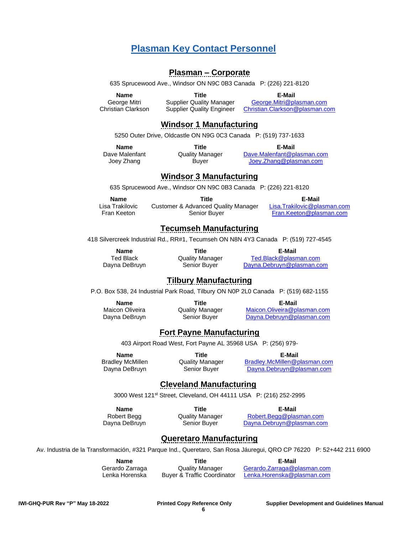## **Plasman Key Contact Personnel**

#### **Plasman – Corporate**

635 Sprucewood Ave., Windsor ON N9C 0B3 Canada P: (226) 221-8120

**Name Title E-Mail**

George Mitri Supplier Quality Manager [George.Mitri@plasman.com](mailto:George.Mitri@plasman.com)<br>Christian Clarkson Supplier Quality Engineer Christian.Clarkson@plasman.com Christian Clarkson @plasman.com

## **Windsor 1 Manufacturing**

5250 Outer Drive, Oldcastle ON N9G 0C3 Canada P: (519) 737-1633

**Name Title E-Mail**

Dave Malenfant **Quality Manager** [Dave.Malenfant@plasman.com](mailto:Dave.Malenfant@plasman.com)

Joey Zhang Buyer [Joey.Zhang@plasman.com](mailto:Joey.Zhang@plasman.com)

## **Windsor 3 Manufacturing**

635 Sprucewood Ave., Windsor ON N9C 0B3 Canada P: (226) 221-8120

**Name Title E-Mail** Lisa Trakilovic Customer & Advanced Quality Manager [Lisa.Trakilovic@plasman.com](mailto:Lisa.Trakilovic@plasman.com) Fran Keeton Senior Buyer [Fran.Keeton@plasman.com](mailto:Fran.Keeton@plasman.com)

## **Tecumseh Manufacturing**

418 Silvercreek Industrial Rd., RR#1, Tecumseh ON N8N 4Y3 Canada P: (519) 727-4545

**Name Title E-Mail**

Ted Black Quality Manager [Ted.Black@plasman.com](mailto:Ted.Black@plasman.com) Dayna DeBruyn Senior Buyer [Dayna.Debruyn@plasman.com](mailto:Dayna.Debruyn@plasman.com)

## **Tilbury Manufacturing**

P.O. Box 538, 24 Industrial Park Road, Tilbury ON N0P 2L0 Canada P: (519) 682-1155

**Name Title E-Mail** Maicon Oliveira **Quality Manager** [Maicon.Oliveira@plasman.com](mailto:Maicon.Oliveira@plasman.com) Dayna DeBruyn Senior Buyer [Dayna.Debruyn@plasman.com](mailto:Dayna.Debruyn@plasman.com)

## **Fort Payne Manufacturing**

403 Airport Road West, Fort Payne AL 35968 USA P: (256) 979-

**Name Title E-Mail**

Bradley McMillen Quality Manager [Bradley.McMillen@p](mailto:Bradley.McMillen@)lasman.com Dayna DeBruyn Senior Buyer [Dayna.Debruyn@plasman.com](mailto:Dayna.Debruyn@plasman.com)

### **Cleveland Manufacturing**

3000 West 121st Street, Cleveland, OH 44111 USA P: (216) 252-2995

**Name Title E-Mail**

Robert Begg **Canadisty Manager** Robert. Begg@plasman.com Dayna DeBruyn Senior Buyer [Dayna.Debruyn@plasman.com](mailto:Dayna.Debruyn@plasman.com)

## **Queretaro Manufacturing**

Av. Industria de la Transformación, #321 Parque Ind., Queretaro, San Rosa Jáuregui, QRO CP 76220 P: 52+442 211 6900

**Name Title E-Mail**

Gerardo Zarraga Quality Manager [Gerardo.Zarraga@plasman.com](mailto:Gerardo.Zarraga@plasman.com) Lenka Horenska Buyer & Traffic Coordinator [Lenka.Horenska@plasman.com](mailto:Lenka.Horenska@plasman.com)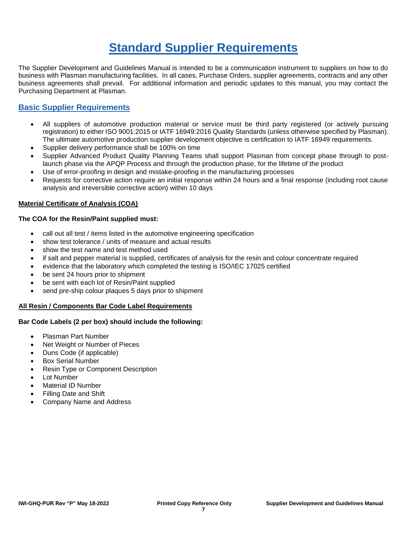## **Standard Supplier Requirements**

The Supplier Development and Guidelines Manual is intended to be a communication instrument to suppliers on how to do business with Plasman manufacturing facilities. In all cases, Purchase Orders, supplier agreements, contracts and any other business agreements shall prevail. For additional information and periodic updates to this manual, you may contact the Purchasing Department at Plasman.

## **Basic Supplier Requirements**

- All suppliers of automotive production material or service must be third party registered (or actively pursuing registration) to either ISO 9001:2015 or IATF 16949:2016 Quality Standards (unless otherwise specified by Plasman). The ultimate automotive production supplier development objective is certification to IATF 16949 requirements.
- Supplier delivery performance shall be 100% on time
- Supplier Advanced Product Quality Planning Teams shall support Plasman from concept phase through to postlaunch phase via the APQP Process and through the production phase, for the lifetime of the product
- Use of error-proofing in design and mistake-proofing in the manufacturing processes
- Requests for corrective action require an initial response within 24 hours and a final response (including root cause analysis and irreversible corrective action) within 10 days

#### **Material Certificate of Analysis (COA)**

#### **The COA for the Resin/Paint supplied must:**

- call out all test / items listed in the automotive engineering specification
- show test tolerance / units of measure and actual results
- show the test name and test method used
- if salt and pepper material is supplied, certificates of analysis for the resin and colour concentrate required
- evidence that the laboratory which completed the testing is ISO/IEC 17025 certified
- be sent 24 hours prior to shipment
- be sent with each lot of Resin/Paint supplied
- send pre-ship colour plaques 5 days prior to shipment

#### **All Resin / Components Bar Code Label Requirements**

#### **Bar Code Labels (2 per box) should include the following:**

- Plasman Part Number
- Net Weight or Number of Pieces
- Duns Code (if applicable)
- Box Serial Number
- Resin Type or Component Description
- Lot Number
- Material ID Number
- Filling Date and Shift
- Company Name and Address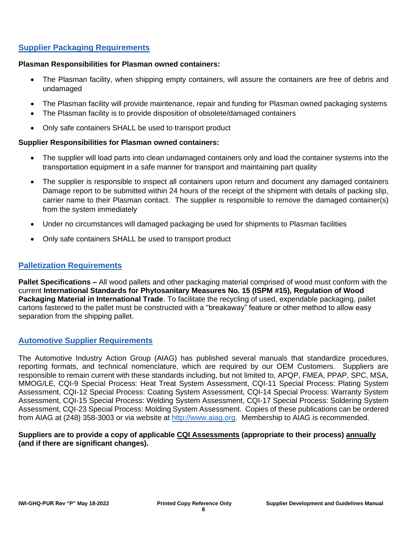## **Supplier Packaging Requirements**

#### **Plasman Responsibilities for Plasman owned containers:**

- The Plasman facility, when shipping empty containers, will assure the containers are free of debris and undamaged
- The Plasman facility will provide maintenance, repair and funding for Plasman owned packaging systems
- The Plasman facility is to provide disposition of obsolete/damaged containers
- Only safe containers SHALL be used to transport product

#### **Supplier Responsibilities for Plasman owned containers:**

- The supplier will load parts into clean undamaged containers only and load the container systems into the transportation equipment in a safe manner for transport and maintaining part quality
- The supplier is responsible to inspect all containers upon return and document any damaged containers Damage report to be submitted within 24 hours of the receipt of the shipment with details of packing slip, carrier name to their Plasman contact. The supplier is responsible to remove the damaged container(s) from the system immediately
- Under no circumstances will damaged packaging be used for shipments to Plasman facilities
- Only safe containers SHALL be used to transport product

#### **Palletization Requirements**

**Pallet Specifications –** All wood pallets and other packaging material comprised of wood must conform with the current **International Standards for Phytosanitary Measures No. 15 (ISPM #15), Regulation of Wood Packaging Material in International Trade**. To facilitate the recycling of used, expendable packaging, pallet cartons fastened to the pallet must be constructed with a "breakaway" feature or other method to allow easy separation from the shipping pallet.

#### **Automotive Supplier Requirements**

The Automotive Industry Action Group (AIAG) has published several manuals that standardize procedures, reporting formats, and technical nomenclature, which are required by our OEM Customers. Suppliers are responsible to remain current with these standards including, but not limited to, APQP, FMEA, PPAP, SPC, MSA, MMOG/LE, CQI-9 Special Process: Heat Treat System Assessment, CQI-11 Special Process: Plating System Assessment, CQI-12 Special Process: Coating System Assessment, CQI-14 Special Process: Warranty System Assessment, CQI-15 Special Process: Welding System Assessment, CQI-17 Special Process: Soldering System Assessment, CQI-23 Special Process: Molding System Assessment. Copies of these publications can be ordered from AIAG at (248) 358-3003 or via website at [http://www.aiag.org.](http://www.aiag.org/) Membership to AIAG is recommended.

#### **Suppliers are to provide a copy of applicable CQI Assessments (appropriate to their process) annually (and if there are significant changes).**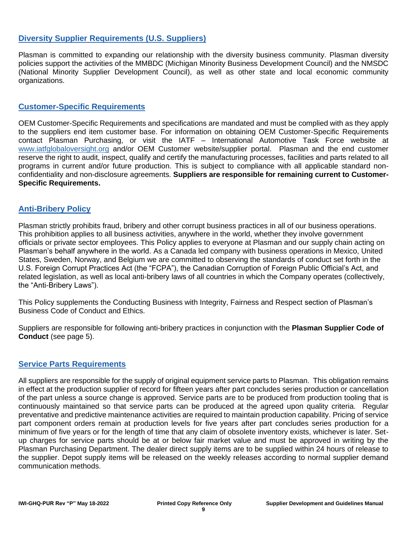### **Diversity Supplier Requirements (U.S. Suppliers)**

Plasman is committed to expanding our relationship with the diversity business community. Plasman diversity policies support the activities of the MMBDC (Michigan Minority Business Development Council) and the NMSDC (National Minority Supplier Development Council), as well as other state and local economic community organizations.

#### **Customer-Specific Requirements**

OEM Customer-Specific Requirements and specifications are mandated and must be complied with as they apply to the suppliers end item customer base. For information on obtaining OEM Customer-Specific Requirements contact Plasman Purchasing, or visit the IATF – International Automotive Task Force website at [www.iatfglobaloversight.org](http://www.iatfglobaloversight.org/) and/or OEM Customer website/supplier portal. Plasman and the end customer reserve the right to audit, inspect, qualify and certify the manufacturing processes, facilities and parts related to all programs in current and/or future production. This is subject to compliance with all applicable standard nonconfidentiality and non-disclosure agreements. **Suppliers are responsible for remaining current to Customer-Specific Requirements.**

### **Anti-Bribery Policy**

Plasman strictly prohibits fraud, bribery and other corrupt business practices in all of our business operations. This prohibition applies to all business activities, anywhere in the world, whether they involve government officials or private sector employees. This Policy applies to everyone at Plasman and our supply chain acting on Plasman's behalf anywhere in the world. As a Canada led company with business operations in Mexico, United States, Sweden, Norway, and Belgium we are committed to observing the standards of conduct set forth in the U.S. Foreign Corrupt Practices Act (the "FCPA"), the Canadian Corruption of Foreign Public Official's Act, and related legislation, as well as local anti-bribery laws of all countries in which the Company operates (collectively, the "Anti-Bribery Laws").

This Policy supplements the Conducting Business with Integrity, Fairness and Respect section of Plasman's Business Code of Conduct and Ethics.

Suppliers are responsible for following anti-bribery practices in conjunction with the **Plasman Supplier Code of Conduct** (see page 5).

### **Service Parts Requirements**

All suppliers are responsible for the supply of original equipment service parts to Plasman. This obligation remains in effect at the production supplier of record for fifteen years after part concludes series production or cancellation of the part unless a source change is approved. Service parts are to be produced from production tooling that is continuously maintained so that service parts can be produced at the agreed upon quality criteria. Regular preventative and predictive maintenance activities are required to maintain production capability. Pricing of service part component orders remain at production levels for five years after part concludes series production for a minimum of five years or for the length of time that any claim of obsolete inventory exists, whichever is later. Setup charges for service parts should be at or below fair market value and must be approved in writing by the Plasman Purchasing Department. The dealer direct supply items are to be supplied within 24 hours of release to the supplier. Depot supply items will be released on the weekly releases according to normal supplier demand communication methods.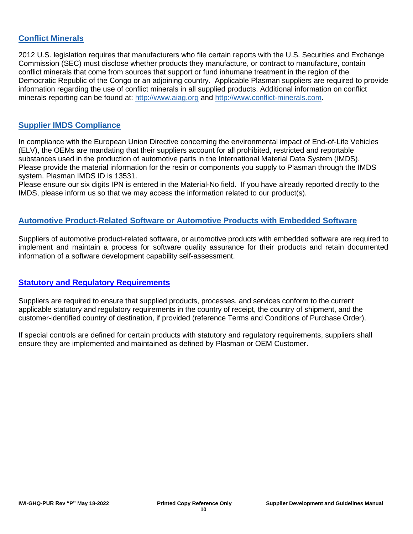## **Conflict Minerals**

2012 U.S. legislation requires that manufacturers who file certain reports with the U.S. Securities and Exchange Commission (SEC) must disclose whether products they manufacture, or contract to manufacture, contain conflict minerals that come from sources that support or fund inhumane treatment in the region of the Democratic Republic of the Congo or an adjoining country. Applicable Plasman suppliers are required to provide information regarding the use of conflict minerals in all supplied products. Additional information on conflict minerals reporting can be found at: [http://www.aiag.org](http://www.aiag.org/) and [http://www.conflict-minerals.com.](http://www.conflict-minerals.com/)

### **Supplier IMDS Compliance**

In compliance with the European Union Directive concerning the environmental impact of End-of-Life Vehicles (ELV), the OEMs are mandating that their suppliers account for all prohibited, restricted and reportable substances used in the production of automotive parts in the International Material Data System (IMDS). Please provide the material information for the resin or components you supply to Plasman through the IMDS system. Plasman IMDS ID is 13531.

Please ensure our six digits IPN is entered in the Material-No field. If you have already reported directly to the IMDS, please inform us so that we may access the information related to our product(s).

#### **Automotive Product-Related Software or Automotive Products with Embedded Software**

Suppliers of automotive product-related software, or automotive products with embedded software are required to implement and maintain a process for software quality assurance for their products and retain documented information of a software development capability self-assessment.

### **Statutory and Regulatory Requirements**

Suppliers are required to ensure that supplied products, processes, and services conform to the current applicable statutory and regulatory requirements in the country of receipt, the country of shipment, and the customer-identified country of destination, if provided (reference Terms and Conditions of Purchase Order).

If special controls are defined for certain products with statutory and regulatory requirements, suppliers shall ensure they are implemented and maintained as defined by Plasman or OEM Customer.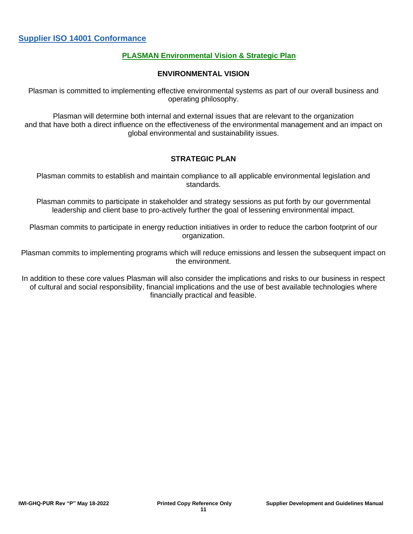#### **PLASMAN Environmental Vision & Strategic Plan**

#### **ENVIRONMENTAL VISION**

Plasman is committed to implementing effective environmental systems as part of our overall business and operating philosophy.

Plasman will determine both internal and external issues that are relevant to the organization and that have both a direct influence on the effectiveness of the environmental management and an impact on global environmental and sustainability issues.

#### **STRATEGIC PLAN**

Plasman commits to establish and maintain compliance to all applicable environmental legislation and standards.

Plasman commits to participate in stakeholder and strategy sessions as put forth by our governmental leadership and client base to pro-actively further the goal of lessening environmental impact.

Plasman commits to participate in energy reduction initiatives in order to reduce the carbon footprint of our organization.

Plasman commits to implementing programs which will reduce emissions and lessen the subsequent impact on the environment.

In addition to these core values Plasman will also consider the implications and risks to our business in respect of cultural and social responsibility, financial implications and the use of best available technologies where financially practical and feasible.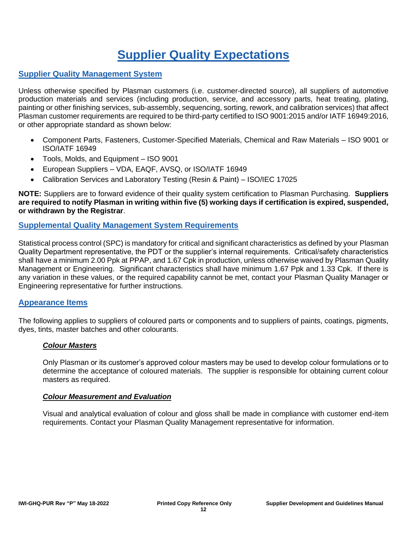## **Supplier Quality Expectations**

## **Supplier Quality Management System**

Unless otherwise specified by Plasman customers (i.e. customer-directed source), all suppliers of automotive production materials and services (including production, service, and accessory parts, heat treating, plating, painting or other finishing services, sub-assembly, sequencing, sorting, rework, and calibration services) that affect Plasman customer requirements are required to be third-party certified to ISO 9001:2015 and/or IATF 16949:2016, or other appropriate standard as shown below:

- Component Parts, Fasteners, Customer-Specified Materials, Chemical and Raw Materials ISO 9001 or ISO/IATF 16949
- Tools, Molds, and Equipment ISO 9001
- European Suppliers VDA, EAQF, AVSQ, or ISO/IATF 16949
- Calibration Services and Laboratory Testing (Resin & Paint) ISO/IEC 17025

**NOTE:** Suppliers are to forward evidence of their quality system certification to Plasman Purchasing. **Suppliers are required to notify Plasman in writing within five (5) working days if certification is expired, suspended, or withdrawn by the Registrar**.

#### **Supplemental Quality Management System Requirements**

Statistical process control (SPC) is mandatory for critical and significant characteristics as defined by your Plasman Quality Department representative, the PDT or the supplier's internal requirements. Critical/safety characteristics shall have a minimum 2.00 Ppk at PPAP, and 1.67 Cpk in production, unless otherwise waived by Plasman Quality Management or Engineering. Significant characteristics shall have minimum 1.67 Ppk and 1.33 Cpk. If there is any variation in these values, or the required capability cannot be met, contact your Plasman Quality Manager or Engineering representative for further instructions.

#### **Appearance Items**

The following applies to suppliers of coloured parts or components and to suppliers of paints, coatings, pigments, dyes, tints, master batches and other colourants.

#### *Colour Masters*

Only Plasman or its customer's approved colour masters may be used to develop colour formulations or to determine the acceptance of coloured materials. The supplier is responsible for obtaining current colour masters as required.

#### *Colour Measurement and Evaluation*

Visual and analytical evaluation of colour and gloss shall be made in compliance with customer end-item requirements. Contact your Plasman Quality Management representative for information.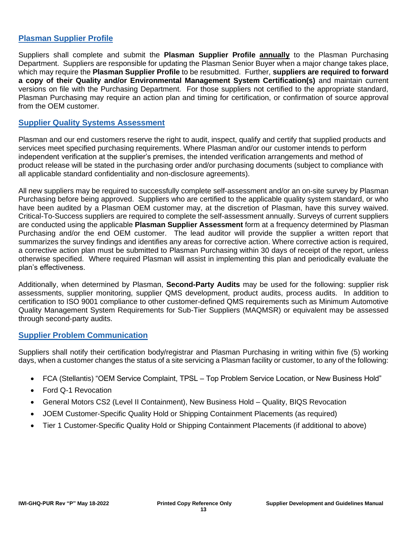## **Plasman Supplier Profile**

Suppliers shall complete and submit the **Plasman Supplier Profile annually** to the Plasman Purchasing Department. Suppliers are responsible for updating the Plasman Senior Buyer when a major change takes place, which may require the **Plasman Supplier Profile** to be resubmitted. Further, **suppliers are required to forward a copy of their Quality and/or Environmental Management System Certification(s)** and maintain current versions on file with the Purchasing Department. For those suppliers not certified to the appropriate standard, Plasman Purchasing may require an action plan and timing for certification, or confirmation of source approval from the OEM customer.

#### **Supplier Quality Systems Assessment**

Plasman and our end customers reserve the right to audit, inspect, qualify and certify that supplied products and services meet specified purchasing requirements. Where Plasman and/or our customer intends to perform independent verification at the supplier's premises, the intended verification arrangements and method of product release will be stated in the purchasing order and/or purchasing documents (subject to compliance with all applicable standard confidentiality and non-disclosure agreements).

All new suppliers may be required to successfully complete self-assessment and/or an on-site survey by Plasman Purchasing before being approved. Suppliers who are certified to the applicable quality system standard, or who have been audited by a Plasman OEM customer may, at the discretion of Plasman, have this survey waived. Critical-To-Success suppliers are required to complete the self-assessment annually. Surveys of current suppliers are conducted using the applicable **Plasman Supplier Assessment** form at a frequency determined by Plasman Purchasing and/or the end OEM customer. The lead auditor will provide the supplier a written report that summarizes the survey findings and identifies any areas for corrective action. Where corrective action is required. a corrective action plan must be submitted to Plasman Purchasing within 30 days of receipt of the report, unless otherwise specified. Where required Plasman will assist in implementing this plan and periodically evaluate the plan's effectiveness.

Additionally, when determined by Plasman, **Second-Party Audits** may be used for the following: supplier risk assessments, supplier monitoring, supplier QMS development, product audits, process audits. In addition to certification to ISO 9001 compliance to other customer-defined QMS requirements such as Minimum Automotive Quality Management System Requirements for Sub-Tier Suppliers (MAQMSR) or equivalent may be assessed through second-party audits.

#### **Supplier Problem Communication**

Suppliers shall notify their certification body/registrar and Plasman Purchasing in writing within five (5) working days, when a customer changes the status of a site servicing a Plasman facility or customer, to any of the following:

- FCA (Stellantis) "OEM Service Complaint, TPSL Top Problem Service Location, or New Business Hold"
- Ford Q-1 Revocation
- General Motors CS2 (Level II Containment), New Business Hold Quality, BIQS Revocation
- JOEM Customer-Specific Quality Hold or Shipping Containment Placements (as required)
- Tier 1 Customer-Specific Quality Hold or Shipping Containment Placements (if additional to above)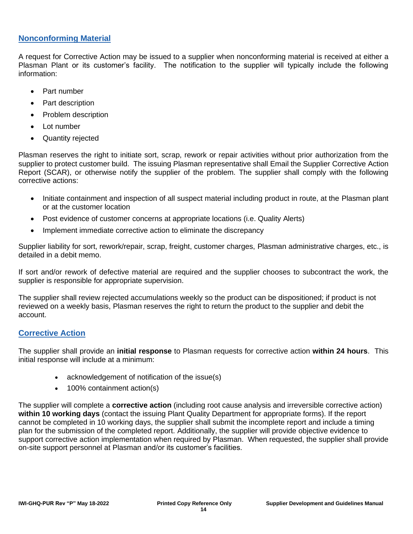### **Nonconforming Material**

A request for Corrective Action may be issued to a supplier when nonconforming material is received at either a Plasman Plant or its customer's facility. The notification to the supplier will typically include the following information:

- Part number
- Part description
- Problem description
- Lot number
- Quantity rejected

Plasman reserves the right to initiate sort, scrap, rework or repair activities without prior authorization from the supplier to protect customer build. The issuing Plasman representative shall Email the Supplier Corrective Action Report (SCAR), or otherwise notify the supplier of the problem. The supplier shall comply with the following corrective actions:

- Initiate containment and inspection of all suspect material including product in route, at the Plasman plant or at the customer location
- Post evidence of customer concerns at appropriate locations (i.e. Quality Alerts)
- Implement immediate corrective action to eliminate the discrepancy

Supplier liability for sort, rework/repair, scrap, freight, customer charges, Plasman administrative charges, etc., is detailed in a debit memo.

If sort and/or rework of defective material are required and the supplier chooses to subcontract the work, the supplier is responsible for appropriate supervision.

The supplier shall review rejected accumulations weekly so the product can be dispositioned; if product is not reviewed on a weekly basis, Plasman reserves the right to return the product to the supplier and debit the account.

### **Corrective Action**

The supplier shall provide an **initial response** to Plasman requests for corrective action **within 24 hours**. This initial response will include at a minimum:

- acknowledgement of notification of the issue(s)
- 100% containment action(s)

The supplier will complete a **corrective action** (including root cause analysis and irreversible corrective action) **within 10 working days** (contact the issuing Plant Quality Department for appropriate forms). If the report cannot be completed in 10 working days, the supplier shall submit the incomplete report and include a timing plan for the submission of the completed report. Additionally, the supplier will provide objective evidence to support corrective action implementation when required by Plasman. When requested, the supplier shall provide on-site support personnel at Plasman and/or its customer's facilities.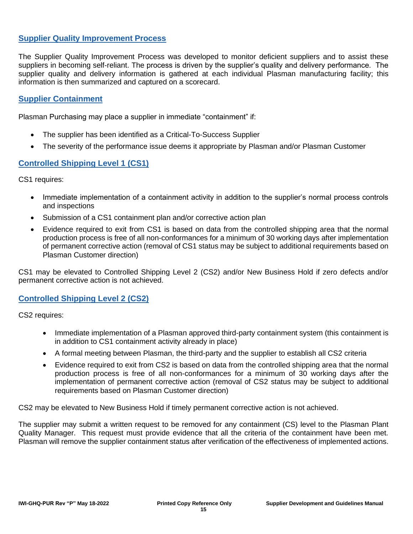### **Supplier Quality Improvement Process**

The Supplier Quality Improvement Process was developed to monitor deficient suppliers and to assist these suppliers in becoming self-reliant. The process is driven by the supplier's quality and delivery performance. The supplier quality and delivery information is gathered at each individual Plasman manufacturing facility; this information is then summarized and captured on a scorecard.

#### **Supplier Containment**

Plasman Purchasing may place a supplier in immediate "containment" if:

- The supplier has been identified as a Critical-To-Success Supplier
- The severity of the performance issue deems it appropriate by Plasman and/or Plasman Customer

### **Controlled Shipping Level 1 (CS1)**

CS1 requires:

- Immediate implementation of a containment activity in addition to the supplier's normal process controls and inspections
- Submission of a CS1 containment plan and/or corrective action plan
- Evidence required to exit from CS1 is based on data from the controlled shipping area that the normal production process is free of all non-conformances for a minimum of 30 working days after implementation of permanent corrective action (removal of CS1 status may be subject to additional requirements based on Plasman Customer direction)

CS1 may be elevated to Controlled Shipping Level 2 (CS2) and/or New Business Hold if zero defects and/or permanent corrective action is not achieved.

#### **Controlled Shipping Level 2 (CS2)**

CS2 requires:

- Immediate implementation of a Plasman approved third-party containment system (this containment is in addition to CS1 containment activity already in place)
- A formal meeting between Plasman, the third-party and the supplier to establish all CS2 criteria
- Evidence required to exit from CS2 is based on data from the controlled shipping area that the normal production process is free of all non-conformances for a minimum of 30 working days after the implementation of permanent corrective action (removal of CS2 status may be subject to additional requirements based on Plasman Customer direction)

CS2 may be elevated to New Business Hold if timely permanent corrective action is not achieved.

The supplier may submit a written request to be removed for any containment (CS) level to the Plasman Plant Quality Manager. This request must provide evidence that all the criteria of the containment have been met. Plasman will remove the supplier containment status after verification of the effectiveness of implemented actions.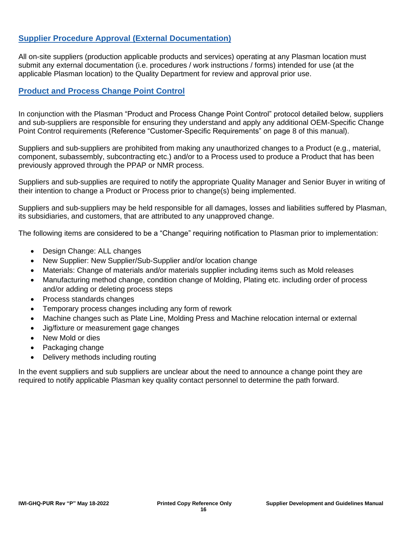## **Supplier Procedure Approval (External Documentation)**

All on-site suppliers (production applicable products and services) operating at any Plasman location must submit any external documentation (i.e. procedures / work instructions / forms) intended for use (at the applicable Plasman location) to the Quality Department for review and approval prior use.

## **Product and Process Change Point Control**

In conjunction with the Plasman "Product and Process Change Point Control" protocol detailed below, suppliers and sub-suppliers are responsible for ensuring they understand and apply any additional OEM-Specific Change Point Control requirements (Reference "Customer-Specific Requirements" on page 8 of this manual).

Suppliers and sub-suppliers are prohibited from making any unauthorized changes to a Product (e.g., material, component, subassembly, subcontracting etc.) and/or to a Process used to produce a Product that has been previously approved through the PPAP or NMR process.

Suppliers and sub-supplies are required to notify the appropriate Quality Manager and Senior Buyer in writing of their intention to change a Product or Process prior to change(s) being implemented.

Suppliers and sub-suppliers may be held responsible for all damages, losses and liabilities suffered by Plasman, its subsidiaries, and customers, that are attributed to any unapproved change.

The following items are considered to be a "Change" requiring notification to Plasman prior to implementation:

- Design Change: ALL changes
- New Supplier: New Supplier/Sub-Supplier and/or location change
- Materials: Change of materials and/or materials supplier including items such as Mold releases
- Manufacturing method change, condition change of Molding, Plating etc. including order of process and/or adding or deleting process steps
- Process standards changes
- Temporary process changes including any form of rework
- Machine changes such as Plate Line, Molding Press and Machine relocation internal or external
- Jig/fixture or measurement gage changes
- New Mold or dies
- Packaging change
- Delivery methods including routing

In the event suppliers and sub suppliers are unclear about the need to announce a change point they are required to notify applicable Plasman key quality contact personnel to determine the path forward.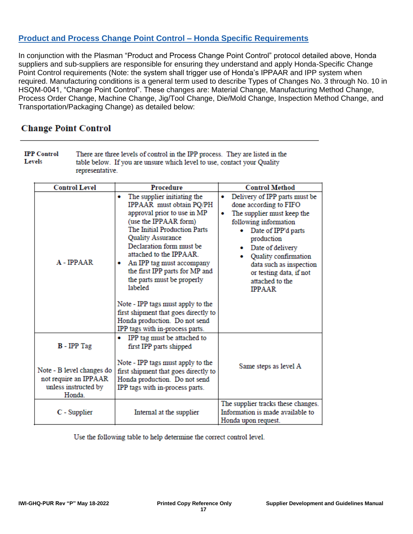## **Product and Process Change Point Control – Honda Specific Requirements**

In conjunction with the Plasman "Product and Process Change Point Control" protocol detailed above, Honda suppliers and sub-suppliers are responsible for ensuring they understand and apply Honda-Specific Change Point Control requirements (Note: the system shall trigger use of Honda's IPPAAR and IPP system when required. Manufacturing conditions is a general term used to describe Types of Changes No. 3 through No. 10 in HSQM-0041, "Change Point Control". These changes are: Material Change, Manufacturing Method Change, Process Order Change, Machine Change, Jig/Tool Change, Die/Mold Change, Inspection Method Change, and Transportation/Packaging Change) as detailed below:

## **Change Point Control**

| <b>IPP</b> Control | There are three levels of control in the IPP process. They are listed in the |
|--------------------|------------------------------------------------------------------------------|
| Levels             | table below. If you are unsure which level to use, contact your Quality      |
|                    | representative.                                                              |

| <b>Control Level</b>                                                                 | <b>Procedure</b>                                                                                                                                                                                                                                                                                                                                                                                                                                                                               | <b>Control Method</b>                                                                                                                                                                                                                                                                     |
|--------------------------------------------------------------------------------------|------------------------------------------------------------------------------------------------------------------------------------------------------------------------------------------------------------------------------------------------------------------------------------------------------------------------------------------------------------------------------------------------------------------------------------------------------------------------------------------------|-------------------------------------------------------------------------------------------------------------------------------------------------------------------------------------------------------------------------------------------------------------------------------------------|
| $A$ - IPPAAR                                                                         | The supplier initiating the<br>۰<br>IPPAAR must obtain PQ/PH<br>approval prior to use in MP<br>(use the IPPAAR form)<br>The Initial Production Parts<br>Quality Assurance<br>Declaration form must be<br>attached to the IPPAAR.<br>An IPP tag must accompany<br>۰<br>the first IPP parts for MP and<br>the parts must be properly<br>labeled<br>Note - IPP tags must apply to the<br>first shipment that goes directly to<br>Honda production. Do not send<br>IPP tags with in-process parts. | Delivery of IPP parts must be<br>done according to FIFO<br>The supplier must keep the<br>following information<br>Date of IPP'd parts<br>production<br>Date of delivery<br>Quality confirmation<br>data such as inspection<br>or testing data, if not<br>attached to the<br><b>IPPAAR</b> |
| <b>B</b> - IPP Tag                                                                   | IPP tag must be attached to<br>۰<br>first IPP parts shipped                                                                                                                                                                                                                                                                                                                                                                                                                                    |                                                                                                                                                                                                                                                                                           |
| Note - B level changes do<br>not require an IPPAAR<br>unless instructed by<br>Honda. | Note - IPP tags must apply to the<br>first shipment that goes directly to<br>Honda production. Do not send<br>IPP tags with in-process parts.                                                                                                                                                                                                                                                                                                                                                  | Same steps as level A                                                                                                                                                                                                                                                                     |
| C - Supplier                                                                         | Internal at the supplier                                                                                                                                                                                                                                                                                                                                                                                                                                                                       | The supplier tracks these changes.<br>Information is made available to<br>Honda upon request.                                                                                                                                                                                             |

Use the following table to help determine the correct control level.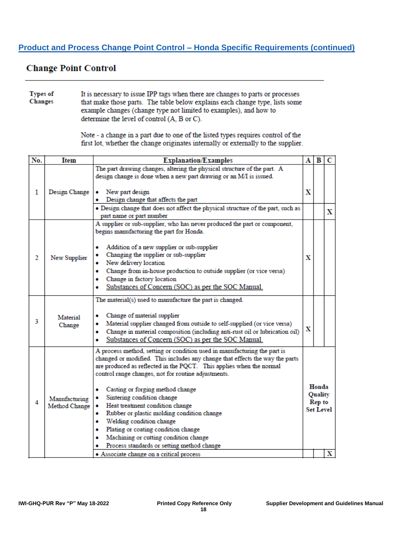## **Product and Process Change Point Control – Honda Specific Requirements (continued)**

## **Change Point Control**

Types of It is necessary to issue IPP tags when there are changes to parts or processes Changes that make those parts. The table below explains each change type, lists some example changes (change type not limited to examples), and how to determine the level of control (A, B or C).

> Note - a change in a part due to one of the listed types requires control of the first lot, whether the change originates internally or externally to the supplier.

| No. | <b>Item</b>                    | <b>Explanation/Examples</b>                                                                                                                                                                                                                                                                                                                                                                                                                                                                                                                                                                                                                                           |   |                                                |   |  |  |
|-----|--------------------------------|-----------------------------------------------------------------------------------------------------------------------------------------------------------------------------------------------------------------------------------------------------------------------------------------------------------------------------------------------------------------------------------------------------------------------------------------------------------------------------------------------------------------------------------------------------------------------------------------------------------------------------------------------------------------------|---|------------------------------------------------|---|--|--|
|     |                                | The part drawing changes, altering the physical structure of the part. A<br>design change is done when a new part drawing or an M/I is issued.                                                                                                                                                                                                                                                                                                                                                                                                                                                                                                                        |   |                                                |   |  |  |
| 1   | Design Change                  | New part design<br>Design change that affects the part<br>. Design change that does not affect the physical structure of the part, such as<br>part name or part number                                                                                                                                                                                                                                                                                                                                                                                                                                                                                                | x |                                                | X |  |  |
| 2   | New Supplier                   | A supplier or sub-supplier, who has never produced the part or component,<br>begins manufacturing the part for Honda.<br>Addition of a new supplier or sub-supplier<br>Changing the supplier or sub-supplier<br>New delivery location<br>Change from in-house production to outside supplier (or vice versa)<br>Change in factory location<br>Substances of Concern (SOC) as per the SOC Manual.                                                                                                                                                                                                                                                                      | х |                                                |   |  |  |
| 3   | Material<br>Change             | The material(s) used to manufacture the part is changed.<br>Change of material supplier<br>Material supplier changed from outside to self-supplied (or vice versa)<br>Change in material composition (including anti-rust oil or lubrication oil)<br>۰<br>Substances of Concern (SOC) as per the SOC Manual.<br>۰                                                                                                                                                                                                                                                                                                                                                     | x |                                                |   |  |  |
| 4   | Manufacturing<br>Method Change | A process method, setting or condition used in manufacturing the part is<br>changed or modified. This includes any change that effects the way the parts<br>are produced as reflected in the PQCT. This applies when the normal<br>control range changes, not for routine adjustments.<br>Casting or forging method change<br>Sintering condition change<br>• Heat treatment condition change<br>Rubber or plastic molding condition change<br>۰<br>Welding condition change<br>۰<br>Plating or coating condition change<br>۰<br>Machining or cutting condition change<br>۰<br>Process standards or setting method change<br>• Associate change on a critical process |   | Honda<br>Quality<br>Rep to<br><b>Set Level</b> | х |  |  |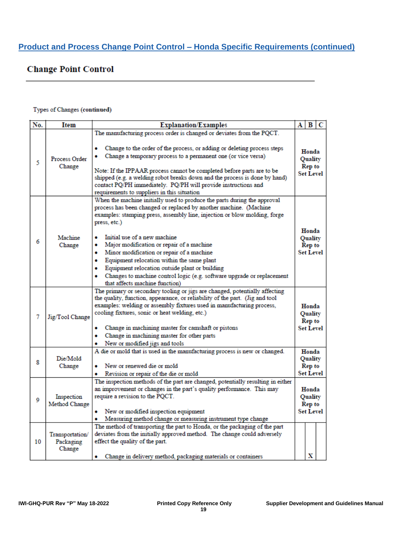## **Change Point Control**

#### Types of Changes (continued)

| No. | Item                                   | <b>Explanation/Examples</b>                                                                                                                                                                                                                                                                                                                                                                                                                                                                                                                                                                          | А |                                                         | B C |
|-----|----------------------------------------|------------------------------------------------------------------------------------------------------------------------------------------------------------------------------------------------------------------------------------------------------------------------------------------------------------------------------------------------------------------------------------------------------------------------------------------------------------------------------------------------------------------------------------------------------------------------------------------------------|---|---------------------------------------------------------|-----|
|     |                                        | The manufacturing process order is changed or deviates from the PQCT.                                                                                                                                                                                                                                                                                                                                                                                                                                                                                                                                |   |                                                         |     |
| 5   | Process Order<br>Change                | Change to the order of the process, or adding or deleting process steps<br>Change a temporary process to a permanent one (or vice versa)<br>Note: If the IPPAAR process cannot be completed before parts are to be<br>shipped (e.g. a welding robot breaks down and the process is done by hand)<br>contact PQ/PH immediately. PQ/PH will provide instructions and<br>requirements to suppliers in this situation                                                                                                                                                                                    |   | Honda<br>Quality<br>Rep to<br><b>Set Level</b>          |     |
| 6   | Machine<br>Change                      | When the machine initially used to produce the parts during the approval<br>process has been changed or replaced by another machine. (Machine<br>examples: stamping press, assembly line, injection or blow molding, forge<br>press, etc.)<br>Initial use of a new machine<br>Major modification or repair of a machine<br>۰<br>Minor modification or repair of a machine<br>۰<br>Equipment relocation within the same plant<br>٠<br>Equipment relocation outside plant or building<br>٠<br>Changes to machine control logic (e.g. software upgrade or replacement<br>that affects machine function) |   | Honda<br>Quality<br>Rep to<br><b>Set Level</b>          |     |
| 7   | Jig/Tool Change                        | The primary or secondary tooling or jigs are changed, potentially affecting<br>the quality, function, appearance, or reliability of the part. (Jig and tool<br>examples: welding or assembly fixtures used in manufacturing process,<br>cooling fixtures, sonic or heat welding, etc.)<br>Change in machining master for camshaft or pistons<br>Change in machining master for other parts<br>٠<br>New or modified jigs and tools<br>A die or mold that is used in the manufacturing process is new or changed.                                                                                      |   | Honda<br>Quality<br>Rep to<br><b>Set Level</b><br>Honda |     |
| 8   | Die/Mold<br>Change                     | New or renewed die or mold<br>Revision or repair of the die or mold                                                                                                                                                                                                                                                                                                                                                                                                                                                                                                                                  |   | Quality<br>Rep to<br><b>Set Level</b>                   |     |
| 9   | Inspection<br>Method Change            | The inspection methods of the part are changed, potentially resulting in either<br>an improvement or changes in the part's quality performance. This may<br>require a revision to the PQCT.<br>New or modified inspection equipment<br>Measuring method change or measuring instrument type change                                                                                                                                                                                                                                                                                                   |   | Honda<br>Quality<br>Rep to<br><b>Set Level</b>          |     |
| 10  | Transportation/<br>Packaging<br>Change | The method of transporting the part to Honda, or the packaging of the part<br>deviates from the initially approved method. The change could adversely<br>effect the quality of the part.<br>Change in delivery method, packaging materials or containers<br>٠                                                                                                                                                                                                                                                                                                                                        |   | х                                                       |     |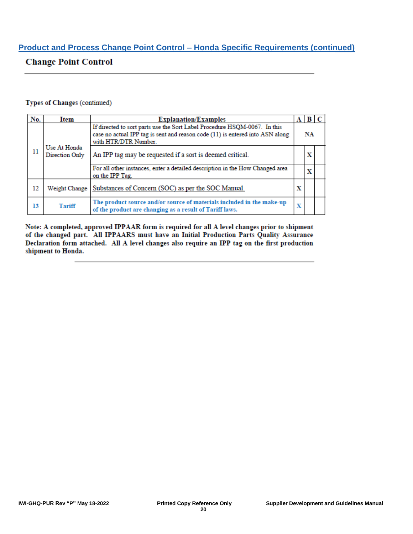## **Product and Process Change Point Control – Honda Specific Requirements (continued)**

## **Change Point Control**

#### Types of Changes (continued)

| No. | Item                           | <b>Explanation/Examples</b>                                                                                                                                                        |   | $A \,   \, B \,   \, C$ |  |
|-----|--------------------------------|------------------------------------------------------------------------------------------------------------------------------------------------------------------------------------|---|-------------------------|--|
|     |                                | If directed to sort parts use the Sort Label Procedure HSQM-0067. In this<br>case no actual IPP tag is sent and reason code (11) is entered into ASN along<br>with HTR/DTR Number. |   | NA                      |  |
| 11  | Use At Honda<br>Direction Only | An IPP tag may be requested if a sort is deemed critical.                                                                                                                          |   | х                       |  |
|     |                                | For all other instances, enter a detailed description in the How Changed area<br>on the IPP Tag.                                                                                   |   | x                       |  |
| 12  |                                | Weight Change   Substances of Concern (SOC) as per the SOC Manual.                                                                                                                 | х |                         |  |
| 13  | <b>Tariff</b>                  | The product source and/or source of materials included in the make-up<br>of the product are changing as a result of Tariff laws.                                                   | x |                         |  |

Note: A completed, approved IPPAAR form is required for all A level changes prior to shipment of the changed part. All IPPAARS must have an Initial Production Parts Quality Assurance Declaration form attached. All A level changes also require an IPP tag on the first production shipment to Honda.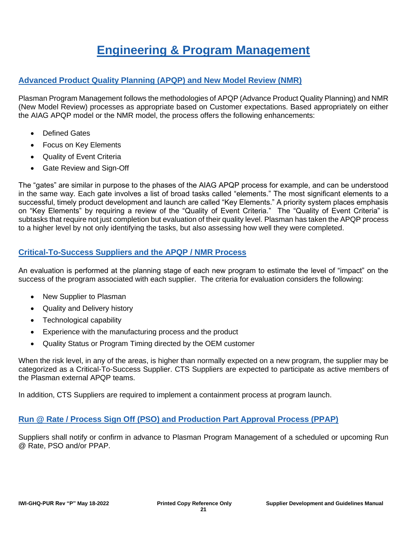## **Engineering & Program Management**

## **Advanced Product Quality Planning (APQP) and New Model Review (NMR)**

Plasman Program Management follows the methodologies of APQP (Advance Product Quality Planning) and NMR (New Model Review) processes as appropriate based on Customer expectations. Based appropriately on either the AIAG APQP model or the NMR model, the process offers the following enhancements:

- **Defined Gates**
- Focus on Key Elements
- Quality of Event Criteria
- Gate Review and Sign-Off

The "gates" are similar in purpose to the phases of the AIAG APQP process for example, and can be understood in the same way. Each gate involves a list of broad tasks called "elements." The most significant elements to a successful, timely product development and launch are called "Key Elements." A priority system places emphasis on "Key Elements" by requiring a review of the "Quality of Event Criteria." The "Quality of Event Criteria" is subtasks that require not just completion but evaluation of their quality level. Plasman has taken the APQP process to a higher level by not only identifying the tasks, but also assessing how well they were completed.

### **Critical-To-Success Suppliers and the APQP / NMR Process**

An evaluation is performed at the planning stage of each new program to estimate the level of "impact" on the success of the program associated with each supplier. The criteria for evaluation considers the following:

- New Supplier to Plasman
- Quality and Delivery history
- Technological capability
- Experience with the manufacturing process and the product
- Quality Status or Program Timing directed by the OEM customer

When the risk level, in any of the areas, is higher than normally expected on a new program, the supplier may be categorized as a Critical-To-Success Supplier. CTS Suppliers are expected to participate as active members of the Plasman external APQP teams.

In addition, CTS Suppliers are required to implement a containment process at program launch.

### **Run @ Rate / Process Sign Off (PSO) and Production Part Approval Process (PPAP)**

Suppliers shall notify or confirm in advance to Plasman Program Management of a scheduled or upcoming Run @ Rate, PSO and/or PPAP.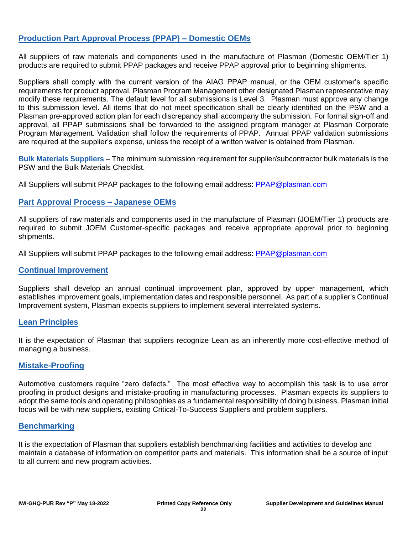## **Production Part Approval Process (PPAP) – Domestic OEMs**

All suppliers of raw materials and components used in the manufacture of Plasman (Domestic OEM/Tier 1) products are required to submit PPAP packages and receive PPAP approval prior to beginning shipments.

Suppliers shall comply with the current version of the AIAG PPAP manual, or the OEM customer's specific requirements for product approval. Plasman Program Management other designated Plasman representative may modify these requirements. The default level for all submissions is Level 3. Plasman must approve any change to this submission level. All items that do not meet specification shall be clearly identified on the PSW and a Plasman pre-approved action plan for each discrepancy shall accompany the submission. For formal sign-off and approval, all PPAP submissions shall be forwarded to the assigned program manager at Plasman Corporate Program Management. Validation shall follow the requirements of PPAP. Annual PPAP validation submissions are required at the supplier's expense, unless the receipt of a written waiver is obtained from Plasman.

**Bulk Materials Suppliers** – The minimum submission requirement for supplier/subcontractor bulk materials is the PSW and the Bulk Materials Checklist.

All Suppliers will submit PPAP packages to the following email address: [PPAP@plasman.com](mailto:PPAP@plasman.com)

#### **Part Approval Process – Japanese OEMs**

All suppliers of raw materials and components used in the manufacture of Plasman (JOEM/Tier 1) products are required to submit JOEM Customer-specific packages and receive appropriate approval prior to beginning shipments.

All Suppliers will submit PPAP packages to the following email address: [PPAP@plasman.com](mailto:PPAP@plasman.com)

#### **Continual Improvement**

Suppliers shall develop an annual continual improvement plan, approved by upper management, which establishes improvement goals, implementation dates and responsible personnel. As part of a supplier's Continual Improvement system, Plasman expects suppliers to implement several interrelated systems.

#### **Lean Principles**

It is the expectation of Plasman that suppliers recognize Lean as an inherently more cost-effective method of managing a business.

#### **Mistake-Proofing**

Automotive customers require "zero defects." The most effective way to accomplish this task is to use error proofing in product designs and mistake-proofing in manufacturing processes. Plasman expects its suppliers to adopt the same tools and operating philosophies as a fundamental responsibility of doing business. Plasman initial focus will be with new suppliers, existing Critical-To-Success Suppliers and problem suppliers.

#### **Benchmarking**

It is the expectation of Plasman that suppliers establish benchmarking facilities and activities to develop and maintain a database of information on competitor parts and materials. This information shall be a source of input to all current and new program activities.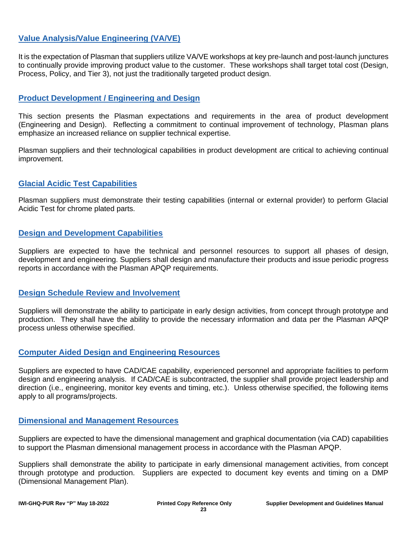## **Value Analysis/Value Engineering (VA/VE)**

It is the expectation of Plasman that suppliers utilize VA/VE workshops at key pre-launch and post-launch junctures to continually provide improving product value to the customer. These workshops shall target total cost (Design, Process, Policy, and Tier 3), not just the traditionally targeted product design.

#### **Product Development / Engineering and Design**

This section presents the Plasman expectations and requirements in the area of product development (Engineering and Design). Reflecting a commitment to continual improvement of technology, Plasman plans emphasize an increased reliance on supplier technical expertise.

Plasman suppliers and their technological capabilities in product development are critical to achieving continual improvement.

#### **Glacial Acidic Test Capabilities**

Plasman suppliers must demonstrate their testing capabilities (internal or external provider) to perform Glacial Acidic Test for chrome plated parts.

### **Design and Development Capabilities**

Suppliers are expected to have the technical and personnel resources to support all phases of design, development and engineering. Suppliers shall design and manufacture their products and issue periodic progress reports in accordance with the Plasman APQP requirements.

#### **Design Schedule Review and Involvement**

Suppliers will demonstrate the ability to participate in early design activities, from concept through prototype and production. They shall have the ability to provide the necessary information and data per the Plasman APQP process unless otherwise specified.

### **Computer Aided Design and Engineering Resources**

Suppliers are expected to have CAD/CAE capability, experienced personnel and appropriate facilities to perform design and engineering analysis. If CAD/CAE is subcontracted, the supplier shall provide project leadership and direction (i.e., engineering, monitor key events and timing, etc.). Unless otherwise specified, the following items apply to all programs/projects.

#### **Dimensional and Management Resources**

Suppliers are expected to have the dimensional management and graphical documentation (via CAD) capabilities to support the Plasman dimensional management process in accordance with the Plasman APQP.

Suppliers shall demonstrate the ability to participate in early dimensional management activities, from concept through prototype and production. Suppliers are expected to document key events and timing on a DMP (Dimensional Management Plan).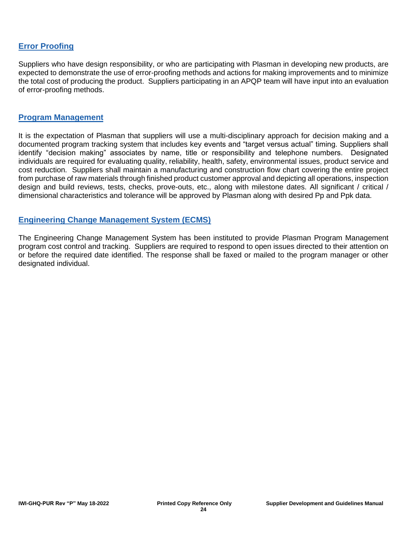## **Error Proofing**

Suppliers who have design responsibility, or who are participating with Plasman in developing new products, are expected to demonstrate the use of error-proofing methods and actions for making improvements and to minimize the total cost of producing the product. Suppliers participating in an APQP team will have input into an evaluation of error-proofing methods.

#### **Program Management**

It is the expectation of Plasman that suppliers will use a multi-disciplinary approach for decision making and a documented program tracking system that includes key events and "target versus actual" timing. Suppliers shall identify "decision making" associates by name, title or responsibility and telephone numbers. Designated individuals are required for evaluating quality, reliability, health, safety, environmental issues, product service and cost reduction. Suppliers shall maintain a manufacturing and construction flow chart covering the entire project from purchase of raw materials through finished product customer approval and depicting all operations, inspection design and build reviews, tests, checks, prove-outs, etc., along with milestone dates. All significant / critical / dimensional characteristics and tolerance will be approved by Plasman along with desired Pp and Ppk data.

#### **Engineering Change Management System (ECMS)**

The Engineering Change Management System has been instituted to provide Plasman Program Management program cost control and tracking. Suppliers are required to respond to open issues directed to their attention on or before the required date identified. The response shall be faxed or mailed to the program manager or other designated individual.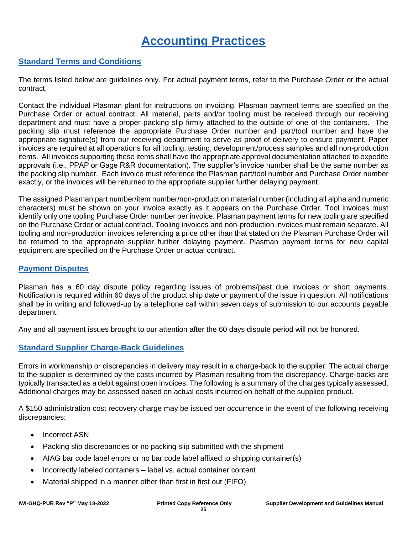## **Accounting Practices**

### **Standard Terms and Conditions**

The terms listed below are guidelines only. For actual payment terms, refer to the Purchase Order or the actual contract.

Contact the individual Plasman plant for instructions on invoicing. Plasman payment terms are specified on the Purchase Order or actual contract. All material, parts and/or tooling must be received through our receiving department and must have a proper packing slip firmly attached to the outside of one of the containers. The packing slip must reference the appropriate Purchase Order number and part/tool number and have the appropriate signature(s) from our receiving department to serve as proof of delivery to ensure payment. Paper invoices are required at all operations for all tooling, testing, development/process samples and all non-production items. All invoices supporting these items shall have the appropriate approval documentation attached to expedite approvals (i.e., PPAP or Gage R&R documentation). The supplier's invoice number shall be the same number as the packing slip number. Each invoice must reference the Plasman part/tool number and Purchase Order number exactly, or the invoices will be returned to the appropriate supplier further delaying payment.

The assigned Plasman part number/item number/non-production material number (including all alpha and numeric characters) must be shown on your invoice exactly as it appears on the Purchase Order. Tool invoices must identify only one tooling Purchase Order number per invoice. Plasman payment terms for new tooling are specified on the Purchase Order or actual contract. Tooling invoices and non-production invoices must remain separate. All tooling and non-production invoices referencing a price other than that stated on the Plasman Purchase Order will be returned to the appropriate supplier further delaying payment. Plasman payment terms for new capital equipment are specified on the Purchase Order or actual contract.

#### **Payment Disputes**

Plasman has a 60 day dispute policy regarding issues of problems/past due invoices or short payments. Notification is required within 60 days of the product ship date or payment of the issue in question. All notifications shall be in writing and followed-up by a telephone call within seven days of submission to our accounts payable department.

Any and all payment issues brought to our attention after the 60 days dispute period will not be honored.

### **Standard Supplier Charge-Back Guidelines**

Errors in workmanship or discrepancies in delivery may result in a charge-back to the supplier. The actual charge to the supplier is determined by the costs incurred by Plasman resulting from the discrepancy. Charge-backs are typically transacted as a debit against open invoices. The following is a summary of the charges typically assessed. Additional charges may be assessed based on actual costs incurred on behalf of the supplied product.

A \$150 administration cost recovery charge may be issued per occurrence in the event of the following receiving discrepancies:

- Incorrect ASN
- Packing slip discrepancies or no packing slip submitted with the shipment
- AIAG bar code label errors or no bar code label affixed to shipping container(s)
- Incorrectly labeled containers label vs. actual container content
- Material shipped in a manner other than first in first out (FIFO)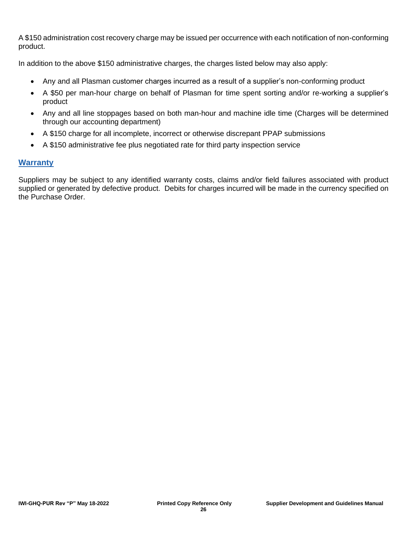A \$150 administration cost recovery charge may be issued per occurrence with each notification of non-conforming product.

In addition to the above \$150 administrative charges, the charges listed below may also apply:

- Any and all Plasman customer charges incurred as a result of a supplier's non-conforming product
- A \$50 per man-hour charge on behalf of Plasman for time spent sorting and/or re-working a supplier's product
- Any and all line stoppages based on both man-hour and machine idle time (Charges will be determined through our accounting department)
- A \$150 charge for all incomplete, incorrect or otherwise discrepant PPAP submissions
- A \$150 administrative fee plus negotiated rate for third party inspection service

### **Warranty**

Suppliers may be subject to any identified warranty costs, claims and/or field failures associated with product supplied or generated by defective product. Debits for charges incurred will be made in the currency specified on the Purchase Order.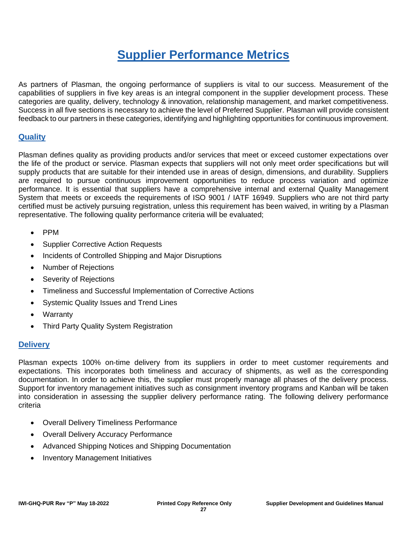## **Supplier Performance Metrics**

As partners of Plasman, the ongoing performance of suppliers is vital to our success. Measurement of the capabilities of suppliers in five key areas is an integral component in the supplier development process. These categories are quality, delivery, technology & innovation, relationship management, and market competitiveness. Success in all five sections is necessary to achieve the level of Preferred Supplier. Plasman will provide consistent feedback to our partners in these categories, identifying and highlighting opportunities for continuous improvement.

### **Quality**

Plasman defines quality as providing products and/or services that meet or exceed customer expectations over the life of the product or service. Plasman expects that suppliers will not only meet order specifications but will supply products that are suitable for their intended use in areas of design, dimensions, and durability. Suppliers are required to pursue continuous improvement opportunities to reduce process variation and optimize performance. It is essential that suppliers have a comprehensive internal and external Quality Management System that meets or exceeds the requirements of ISO 9001 / IATF 16949. Suppliers who are not third party certified must be actively pursuing registration, unless this requirement has been waived, in writing by a Plasman representative. The following quality performance criteria will be evaluated;

- PPM
- Supplier Corrective Action Requests
- Incidents of Controlled Shipping and Major Disruptions
- Number of Rejections
- Severity of Rejections
- Timeliness and Successful Implementation of Corrective Actions
- Systemic Quality Issues and Trend Lines
- Warranty
- Third Party Quality System Registration

### **Delivery**

Plasman expects 100% on-time delivery from its suppliers in order to meet customer requirements and expectations. This incorporates both timeliness and accuracy of shipments, as well as the corresponding documentation. In order to achieve this, the supplier must properly manage all phases of the delivery process. Support for inventory management initiatives such as consignment inventory programs and Kanban will be taken into consideration in assessing the supplier delivery performance rating. The following delivery performance criteria

- Overall Delivery Timeliness Performance
- Overall Delivery Accuracy Performance
- Advanced Shipping Notices and Shipping Documentation
- Inventory Management Initiatives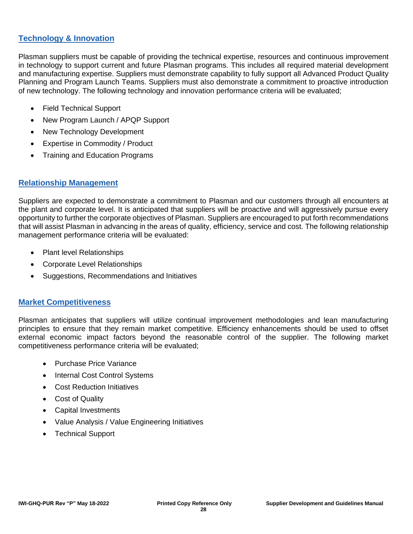## **Technology & Innovation**

Plasman suppliers must be capable of providing the technical expertise, resources and continuous improvement in technology to support current and future Plasman programs. This includes all required material development and manufacturing expertise. Suppliers must demonstrate capability to fully support all Advanced Product Quality Planning and Program Launch Teams. Suppliers must also demonstrate a commitment to proactive introduction of new technology. The following technology and innovation performance criteria will be evaluated;

- Field Technical Support
- New Program Launch / APQP Support
- New Technology Development
- Expertise in Commodity / Product
- Training and Education Programs

#### **Relationship Management**

Suppliers are expected to demonstrate a commitment to Plasman and our customers through all encounters at the plant and corporate level. It is anticipated that suppliers will be proactive and will aggressively pursue every opportunity to further the corporate objectives of Plasman. Suppliers are encouraged to put forth recommendations that will assist Plasman in advancing in the areas of quality, efficiency, service and cost. The following relationship management performance criteria will be evaluated:

- Plant level Relationships
- Corporate Level Relationships
- Suggestions, Recommendations and Initiatives

#### **Market Competitiveness**

Plasman anticipates that suppliers will utilize continual improvement methodologies and lean manufacturing principles to ensure that they remain market competitive. Efficiency enhancements should be used to offset external economic impact factors beyond the reasonable control of the supplier. The following market competitiveness performance criteria will be evaluated;

- Purchase Price Variance
- Internal Cost Control Systems
- Cost Reduction Initiatives
- Cost of Quality
- Capital Investments
- Value Analysis / Value Engineering Initiatives
- Technical Support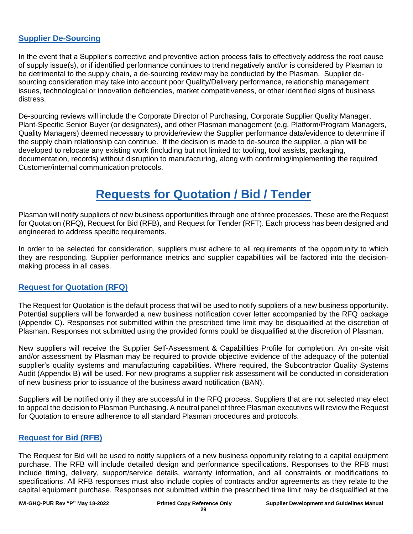## **Supplier De-Sourcing**

In the event that a Supplier's corrective and preventive action process fails to effectively address the root cause of supply issue(s), or if identified performance continues to trend negatively and/or is considered by Plasman to be detrimental to the supply chain, a de-sourcing review may be conducted by the Plasman. Supplier desourcing consideration may take into account poor Quality/Delivery performance, relationship management issues, technological or innovation deficiencies, market competitiveness, or other identified signs of business distress.

De-sourcing reviews will include the Corporate Director of Purchasing, Corporate Supplier Quality Manager, Plant-Specific Senior Buyer (or designates), and other Plasman management (e.g. Platform/Program Managers, Quality Managers) deemed necessary to provide/review the Supplier performance data/evidence to determine if the supply chain relationship can continue. If the decision is made to de-source the supplier, a plan will be developed to relocate any existing work (including but not limited to: tooling, tool assists, packaging, documentation, records) without disruption to manufacturing, along with confirming/implementing the required Customer/internal communication protocols.

## **Requests for Quotation / Bid / Tender**

Plasman will notify suppliers of new business opportunities through one of three processes. These are the Request for Quotation (RFQ), Request for Bid (RFB), and Request for Tender (RFT). Each process has been designed and engineered to address specific requirements.

In order to be selected for consideration, suppliers must adhere to all requirements of the opportunity to which they are responding. Supplier performance metrics and supplier capabilities will be factored into the decisionmaking process in all cases.

### **Request for Quotation (RFQ)**

The Request for Quotation is the default process that will be used to notify suppliers of a new business opportunity. Potential suppliers will be forwarded a new business notification cover letter accompanied by the RFQ package (Appendix C). Responses not submitted within the prescribed time limit may be disqualified at the discretion of Plasman. Responses not submitted using the provided forms could be disqualified at the discretion of Plasman.

New suppliers will receive the Supplier Self-Assessment & Capabilities Profile for completion. An on-site visit and/or assessment by Plasman may be required to provide objective evidence of the adequacy of the potential supplier's quality systems and manufacturing capabilities. Where required, the Subcontractor Quality Systems Audit (Appendix B) will be used. For new programs a supplier risk assessment will be conducted in consideration of new business prior to issuance of the business award notification (BAN).

Suppliers will be notified only if they are successful in the RFQ process. Suppliers that are not selected may elect to appeal the decision to Plasman Purchasing. A neutral panel of three Plasman executives will review the Request for Quotation to ensure adherence to all standard Plasman procedures and protocols.

#### **Request for Bid (RFB)**

The Request for Bid will be used to notify suppliers of a new business opportunity relating to a capital equipment purchase. The RFB will include detailed design and performance specifications. Responses to the RFB must include timing, delivery, support/service details, warranty information, and all constraints or modifications to specifications. All RFB responses must also include copies of contracts and/or agreements as they relate to the capital equipment purchase. Responses not submitted within the prescribed time limit may be disqualified at the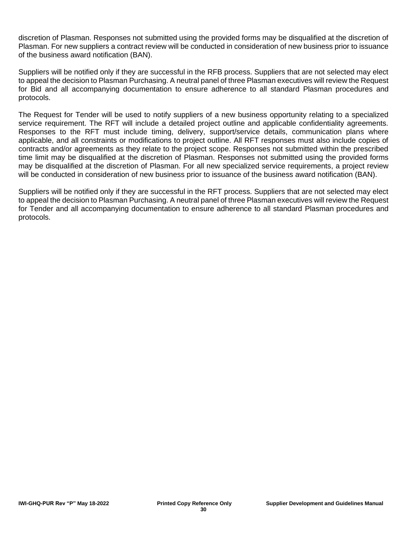discretion of Plasman. Responses not submitted using the provided forms may be disqualified at the discretion of Plasman. For new suppliers a contract review will be conducted in consideration of new business prior to issuance of the business award notification (BAN).

Suppliers will be notified only if they are successful in the RFB process. Suppliers that are not selected may elect to appeal the decision to Plasman Purchasing. A neutral panel of three Plasman executives will review the Request for Bid and all accompanying documentation to ensure adherence to all standard Plasman procedures and protocols.

The Request for Tender will be used to notify suppliers of a new business opportunity relating to a specialized service requirement. The RFT will include a detailed project outline and applicable confidentiality agreements. Responses to the RFT must include timing, delivery, support/service details, communication plans where applicable, and all constraints or modifications to project outline. All RFT responses must also include copies of contracts and/or agreements as they relate to the project scope. Responses not submitted within the prescribed time limit may be disqualified at the discretion of Plasman. Responses not submitted using the provided forms may be disqualified at the discretion of Plasman. For all new specialized service requirements, a project review will be conducted in consideration of new business prior to issuance of the business award notification (BAN).

Suppliers will be notified only if they are successful in the RFT process. Suppliers that are not selected may elect to appeal the decision to Plasman Purchasing. A neutral panel of three Plasman executives will review the Request for Tender and all accompanying documentation to ensure adherence to all standard Plasman procedures and protocols.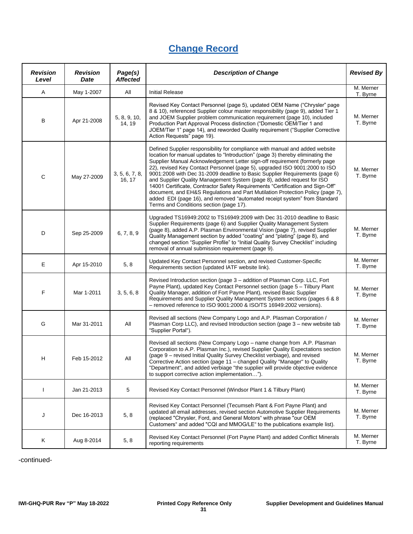## **Change Record**

| <b>Revision</b><br>Level | <b>Revision</b><br>Date | Page(s)<br><b>Affected</b> | <b>Description of Change</b>                                                                                                                                                                                                                                                                                                                                                                                                                                                                                                                                                                                                                                                                                                                                                    | <b>Revised By</b>     |  |
|--------------------------|-------------------------|----------------------------|---------------------------------------------------------------------------------------------------------------------------------------------------------------------------------------------------------------------------------------------------------------------------------------------------------------------------------------------------------------------------------------------------------------------------------------------------------------------------------------------------------------------------------------------------------------------------------------------------------------------------------------------------------------------------------------------------------------------------------------------------------------------------------|-----------------------|--|
| Α                        | May 1-2007              | All                        | <b>Initial Release</b>                                                                                                                                                                                                                                                                                                                                                                                                                                                                                                                                                                                                                                                                                                                                                          | M. Merner<br>T. Byrne |  |
| В                        | Apr 21-2008             | 5, 8, 9, 10,<br>14, 19     | Revised Key Contact Personnel (page 5), updated OEM Name ("Chrysler" page<br>8 & 10), referenced Supplier colour master responsibility (page 9), added Tier 1<br>and JOEM Supplier problem communication requirement (page 10), included<br>Production Part Approval Process distinction ("Domestic OEM/Tier 1 and<br>JOEM/Tier 1" page 14), and reworded Quality requirement ("Supplier Corrective<br>Action Requests" page 19).                                                                                                                                                                                                                                                                                                                                               | M. Merner<br>T. Byrne |  |
| C                        | May 27-2009             | 3, 5, 6, 7, 8,<br>16, 17   | Defined Supplier responsibility for compliance with manual and added website<br>location for manual updates to "Introduction" (page 3) thereby eliminating the<br>Supplier Manual Acknowledgement Letter sign-off requirement (formerly page<br>22), revised Key Contact Personnel (page 5), upgraded ISO 9001:2000 to ISO<br>9001:2008 with Dec 31-2009 deadline to Basic Supplier Requirements (page 6)<br>and Supplier Quality Management System (page 8), added request for ISO<br>14001 Certificate, Contractor Safety Requirements "Certification and Sign-Off"<br>document, and EH&S Regulations and Part Mutilation Protection Policy (page 7),<br>added EDI (page 16), and removed "automated receipt system" from Standard<br>Terms and Conditions section (page 17). | M. Merner<br>T. Byrne |  |
| D                        | Sep 25-2009             | 6, 7, 8, 9                 | Upgraded TS16949:2002 to TS16949:2009 with Dec 31-2010 deadline to Basic<br>Supplier Requirements (page 6) and Supplier Quality Management System<br>(page 8), added A.P. Plasman Environmental Vision (page 7), revised Supplier<br>Quality Management section by added "coating" and "plating" (page 8), and<br>changed section "Supplier Profile" to "Initial Quality Survey Checklist" including<br>removal of annual submission requirement (page 9).                                                                                                                                                                                                                                                                                                                      | M. Merner<br>T. Byrne |  |
| Е                        | Apr 15-2010             | 5, 8                       | Updated Key Contact Personnel section, and revised Customer-Specific<br>Requirements section (updated IATF website link).                                                                                                                                                                                                                                                                                                                                                                                                                                                                                                                                                                                                                                                       | M. Merner<br>T. Byrne |  |
| F                        | Mar 1-2011              | 3, 5, 6, 8                 | Revised Introduction section (page 3 - addition of Plasman Corp. LLC, Fort<br>Payne Plant), updated Key Contact Personnel section (page 5 - Tilbury Plant<br>Quality Manager, addition of Fort Payne Plant), revised Basic Supplier<br>Requirements and Supplier Quality Management System sections (pages 6 & 8<br>- removed reference to ISO 9001:2000 & ISO/TS 16949:2002 versions).                                                                                                                                                                                                                                                                                                                                                                                         | M. Merner<br>T. Byrne |  |
| G                        | Mar 31-2011             | All                        | Revised all sections (New Company Logo and A.P. Plasman Corporation /<br>Plasman Corp LLC), and revised Introduction section (page 3 - new website tab<br>"Supplier Portal").                                                                                                                                                                                                                                                                                                                                                                                                                                                                                                                                                                                                   | M. Merner<br>T. Byrne |  |
| н                        | Feb 15-2012             | All                        | Revised all sections (New Company Logo - name change from A.P. Plasman<br>Corporation to A.P. Plasman Inc.), revised Supplier Quality Expectations section<br>(page 9 – revised Initial Quality Survey Checklist verbiage), and revised<br>Corrective Action section (page 11 - changed Quality "Manager" to Quality<br>"Department", and added verbiage "the supplier will provide objective evidence<br>to support corrective action implementation").                                                                                                                                                                                                                                                                                                                        | M. Merner<br>T. Byrne |  |
| ı                        | Jan 21-2013             | 5                          | Revised Key Contact Personnel (Windsor Plant 1 & Tilbury Plant)                                                                                                                                                                                                                                                                                                                                                                                                                                                                                                                                                                                                                                                                                                                 | M. Merner<br>T. Byrne |  |
| J                        | Dec 16-2013             | 5, 8                       | Revised Key Contact Personnel (Tecumseh Plant & Fort Payne Plant) and<br>updated all email addresses, revised section Automotive Supplier Requirements<br>(replaced "Chrysler, Ford, and General Motors" with phrase "our OEM<br>Customers" and added "CQI and MMOG/LE" to the publications example list).                                                                                                                                                                                                                                                                                                                                                                                                                                                                      | M. Merner<br>T. Byrne |  |
| Κ                        | Aug 8-2014              | 5, 8                       | Revised Key Contact Personnel (Fort Payne Plant) and added Conflict Minerals<br>reporting requirements                                                                                                                                                                                                                                                                                                                                                                                                                                                                                                                                                                                                                                                                          | M. Merner<br>T. Byrne |  |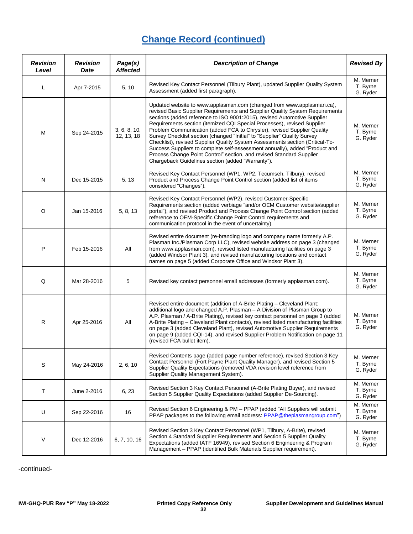| <b>Revision</b><br>Level | <b>Revision</b><br>Date | Page(s)<br><b>Affected</b> | <b>Description of Change</b>                                                                                                                                                                                                                                                                                                                                                                                                                                                                                                                                                                                                                                                                                                                                     | <b>Revised By</b>                 |
|--------------------------|-------------------------|----------------------------|------------------------------------------------------------------------------------------------------------------------------------------------------------------------------------------------------------------------------------------------------------------------------------------------------------------------------------------------------------------------------------------------------------------------------------------------------------------------------------------------------------------------------------------------------------------------------------------------------------------------------------------------------------------------------------------------------------------------------------------------------------------|-----------------------------------|
| L                        | Apr 7-2015              | 5, 10                      | Revised Key Contact Personnel (Tilbury Plant), updated Supplier Quality System<br>Assessment (added first paragraph).                                                                                                                                                                                                                                                                                                                                                                                                                                                                                                                                                                                                                                            | M. Merner<br>T. Byrne<br>G. Ryder |
| M                        | Sep 24-2015             | 3, 6, 8, 10,<br>12, 13, 18 | Updated website to www.applasman.com (changed from www.applasman.ca),<br>revised Basic Supplier Requirements and Supplier Quality System Requirements<br>sections (added reference to ISO 9001:2015), revised Automotive Supplier<br>Requirements section (itemized CQI Special Processes), revised Supplier<br>Problem Communication (added FCA to Chrysler), revised Supplier Quality<br>Survey Checklist section (changed "Initial" to "Supplier" Quality Survey<br>Checklist), revised Supplier Quality System Assessments section (Critical-To-<br>Success Suppliers to complete self-assessment annually), added "Product and<br>Process Change Point Control" section, and revised Standard Supplier<br>Chargeback Guidelines section (added "Warranty"). | M. Merner<br>T. Byrne<br>G. Ryder |
| N                        | Dec 15-2015             | 5, 13                      | Revised Key Contact Personnel (WP1, WP2, Tecumseh, Tilbury), revised<br>Product and Process Change Point Control section (added list of items<br>considered "Changes").                                                                                                                                                                                                                                                                                                                                                                                                                                                                                                                                                                                          | M. Merner<br>T. Byrne<br>G. Ryder |
| $\circ$                  | Jan 15-2016             | 5, 8, 13                   | Revised Key Contact Personnel (WP2), revised Customer-Specific<br>Requirements section (added verbiage "and/or OEM Customer website/supplier<br>portal"), and revised Product and Process Change Point Control section (added<br>reference to OEM-Specific Change Point Control requirements and<br>communication protocol in the event of uncertainty).                                                                                                                                                                                                                                                                                                                                                                                                         | M. Merner<br>T. Byrne<br>G. Ryder |
| P                        | Feb 15-2016             | All                        | Revised entire document (re-branding logo and company name formerly A.P.<br>Plasman Inc./Plasman Corp LLC), revised website address on page 3 (changed<br>from www.applasman.com), revised listed manufacturing facilities on page 3<br>(added Windsor Plant 3), and revised manufacturing locations and contact<br>names on page 5 (added Corporate Office and Windsor Plant 3).                                                                                                                                                                                                                                                                                                                                                                                | M. Merner<br>T. Byrne<br>G. Ryder |
| Q                        | Mar 28-2016             | 5                          | Revised key contact personnel email addresses (formerly applasman.com).                                                                                                                                                                                                                                                                                                                                                                                                                                                                                                                                                                                                                                                                                          | M. Merner<br>T. Byrne<br>G. Ryder |
| R                        | Apr 25-2016             | All                        | Revised entire document (addition of A-Brite Plating - Cleveland Plant:<br>additional logo and changed A.P. Plasman - A Division of Plasman Group to<br>A.P. Plasman / A-Brite Plating), revised key contact personnel on page 3 (added<br>A-Brite Plating - Cleveland Plant contacts), revised listed manufacturing facilities<br>on page 3 (added Cleveland Plant), revised Automotive Supplier Requirements<br>on page 9 (added CQI-14), and revised Supplier Problem Notification on page 11<br>(revised FCA bullet item).                                                                                                                                                                                                                                   | M. Merner<br>T. Byrne<br>G. Ryder |
| S                        | May 24-2016             | 2, 6, 10                   | Revised Contents page (added page number reference), revised Section 3 Key<br>Contact Personnel (Fort Payne Plant Quality Manager), and revised Section 5<br>Supplier Quality Expectations (removed VDA revision level reference from<br>Supplier Quality Management System).                                                                                                                                                                                                                                                                                                                                                                                                                                                                                    | M. Merner<br>T. Byrne<br>G. Ryder |
| т                        | June 2-2016             | 6, 23                      | Revised Section 3 Key Contact Personnel (A-Brite Plating Buyer), and revised<br>Section 5 Supplier Quality Expectations (added Supplier De-Sourcing).                                                                                                                                                                                                                                                                                                                                                                                                                                                                                                                                                                                                            | M. Merner<br>T. Byrne<br>G. Ryder |
| U                        | Sep 22-2016             | 16                         | Revised Section 6 Engineering & PM - PPAP (added "All Suppliers will submit<br>PPAP packages to the following email address: PPAP@theplasmangroup.com")                                                                                                                                                                                                                                                                                                                                                                                                                                                                                                                                                                                                          | M. Merner<br>T. Byrne<br>G. Ryder |
| ٧                        | Dec 12-2016             | 6, 7, 10, 16               | Revised Section 3 Key Contact Personnel (WP1, Tilbury, A-Brite), revised<br>Section 4 Standard Supplier Requirements and Section 5 Supplier Quality<br>Expectations (added IATF 16949), revised Section 6 Engineering & Program<br>Management - PPAP (identified Bulk Materials Supplier requirement).                                                                                                                                                                                                                                                                                                                                                                                                                                                           | M. Merner<br>T. Byrne<br>G. Ryder |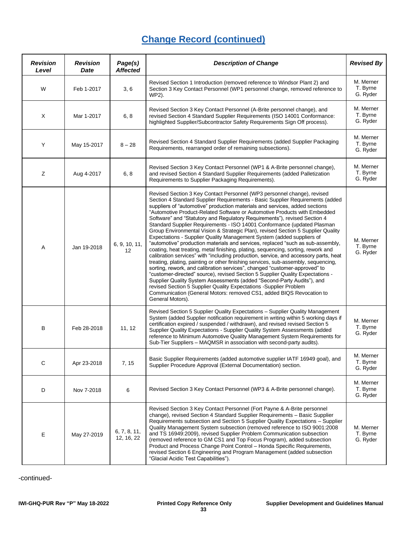| <b>Revision</b><br>Level | <b>Revision</b><br>Date | Page(s)<br><b>Affected</b> | <b>Description of Change</b>                                                                                                                                                                                                                                                                                                                                                                                                                                                                                                                                                                                                                                                                                                                                                                                                                                                                                                                                                                                                                                                                                                                                                                                                                                                                                                                                                                                | <b>Revised By</b>                 |
|--------------------------|-------------------------|----------------------------|-------------------------------------------------------------------------------------------------------------------------------------------------------------------------------------------------------------------------------------------------------------------------------------------------------------------------------------------------------------------------------------------------------------------------------------------------------------------------------------------------------------------------------------------------------------------------------------------------------------------------------------------------------------------------------------------------------------------------------------------------------------------------------------------------------------------------------------------------------------------------------------------------------------------------------------------------------------------------------------------------------------------------------------------------------------------------------------------------------------------------------------------------------------------------------------------------------------------------------------------------------------------------------------------------------------------------------------------------------------------------------------------------------------|-----------------------------------|
| W                        | Feb 1-2017              | 3, 6                       | Revised Section 1 Introduction (removed reference to Windsor Plant 2) and<br>Section 3 Key Contact Personnel (WP1 personnel change, removed reference to<br>WP2).                                                                                                                                                                                                                                                                                                                                                                                                                                                                                                                                                                                                                                                                                                                                                                                                                                                                                                                                                                                                                                                                                                                                                                                                                                           | M. Merner<br>T. Byrne<br>G. Ryder |
| X                        | Mar 1-2017              | 6, 8                       | Revised Section 3 Key Contact Personnel (A-Brite personnel change), and<br>revised Section 4 Standard Supplier Requirements (ISO 14001 Conformance:<br>highlighted Supplier/Subcontractor Safety Requirements Sign Off process).                                                                                                                                                                                                                                                                                                                                                                                                                                                                                                                                                                                                                                                                                                                                                                                                                                                                                                                                                                                                                                                                                                                                                                            | M. Merner<br>T. Byrne<br>G. Ryder |
| Y                        | May 15-2017             | $8 - 28$                   | Revised Section 4 Standard Supplier Requirements (added Supplier Packaging<br>Requirements, rearranged order of remaining subsections).                                                                                                                                                                                                                                                                                                                                                                                                                                                                                                                                                                                                                                                                                                                                                                                                                                                                                                                                                                                                                                                                                                                                                                                                                                                                     | M. Merner<br>T. Byrne<br>G. Ryder |
| Ζ                        | Aug 4-2017              | 6, 8                       | Revised Section 3 Key Contact Personnel (WP1 & A-Brite personnel change),<br>and revised Section 4 Standard Supplier Requirements (added Palletization<br>Requirements to Supplier Packaging Requirements).                                                                                                                                                                                                                                                                                                                                                                                                                                                                                                                                                                                                                                                                                                                                                                                                                                                                                                                                                                                                                                                                                                                                                                                                 | M. Merner<br>T. Byrne<br>G. Ryder |
| Α                        | Jan 19-2018             | 6, 9, 10, 11,<br>12        | Revised Section 3 Key Contact Personnel (WP3 personnel change), revised<br>Section 4 Standard Supplier Requirements - Basic Supplier Requirements (added<br>suppliers of "automotive" production materials and services, added sections<br>"Automotive Product-Related Software or Automotive Products with Embedded<br>Software" and "Statutory and Regulatory Requirements"), revised Section 4<br>Standard Supplier Requirements - ISO 14001 Conformance (updated Plasman<br>Group Environmental Vision & Strategic Plan), revised Section 5 Supplier Quality<br>Expectations - Supplier Quality Management System (added suppliers of<br>"automotive" production materials and services, replaced "such as sub-assembly,<br>coating, heat treating, metal finishing, plating, sequencing, sorting, rework and<br>calibration services" with "including production, service, and accessory parts, heat<br>treating, plating, painting or other finishing services, sub-assembly, sequencing,<br>sorting, rework, and calibration services", changed "customer-approved" to<br>"customer-directed" source), revised Section 5 Supplier Quality Expectations -<br>Supplier Quality System Assessments (added "Second-Party Audits"), and<br>revised Section 5 Supplier Quality Expectations - Supplier Problem<br>Communication (General Motors: removed CS1, added BIQS Revocation to<br>General Motors). | M. Merner<br>T. Byrne<br>G. Ryder |
| В                        | Feb 28-2018             | 11, 12                     | Revised Section 5 Supplier Quality Expectations - Supplier Quality Management<br>System (added Supplier notification requirement in writing within 5 working days if<br>certification expired / suspended / withdrawn), and revised revised Section 5<br>Supplier Quality Expectations - Supplier Quality System Assessments (added<br>reference to Minimum Automotive Quality Management System Requirements for<br>Sub-Tier Suppliers - MAQMSR in association with second-party audits).                                                                                                                                                                                                                                                                                                                                                                                                                                                                                                                                                                                                                                                                                                                                                                                                                                                                                                                  | M. Merner<br>T. Byrne<br>G. Ryder |
| С                        | Apr 23-2018             | 7, 15                      | Basic Supplier Requirements (added automotive supplier IATF 16949 goal), and<br>Supplier Procedure Approval (External Documentation) section.                                                                                                                                                                                                                                                                                                                                                                                                                                                                                                                                                                                                                                                                                                                                                                                                                                                                                                                                                                                                                                                                                                                                                                                                                                                               | M. Merner<br>T. Byrne<br>G. Ryder |
| D                        | Nov 7-2018              | 6                          | Revised Section 3 Key Contact Personnel (WP3 & A-Brite personnel change).                                                                                                                                                                                                                                                                                                                                                                                                                                                                                                                                                                                                                                                                                                                                                                                                                                                                                                                                                                                                                                                                                                                                                                                                                                                                                                                                   | M. Merner<br>T. Byrne<br>G. Ryder |
| Е                        | May 27-2019             | 6, 7, 8, 11,<br>12, 16, 22 | Revised Section 3 Key Contact Personnel (Fort Payne & A-Brite personnel<br>change), revised Section 4 Standard Supplier Requirements - Basic Supplier<br>Requirements subsection and Section 5 Supplier Quality Expectations - Supplier<br>Quality Management System subsection (removed reference to ISO 9001:2008<br>and TS 16949:2009), revised Supplier Problem Communication subsection<br>(removed reference to GM CS1 and Top Focus Program), added subsection<br>Product and Process Change Point Control - Honda Specific Requirements,<br>revised Section 6 Engineering and Program Management (added subsection<br>"Glacial Acidic Test Capabilities").                                                                                                                                                                                                                                                                                                                                                                                                                                                                                                                                                                                                                                                                                                                                          | M. Merner<br>T. Byrne<br>G. Ryder |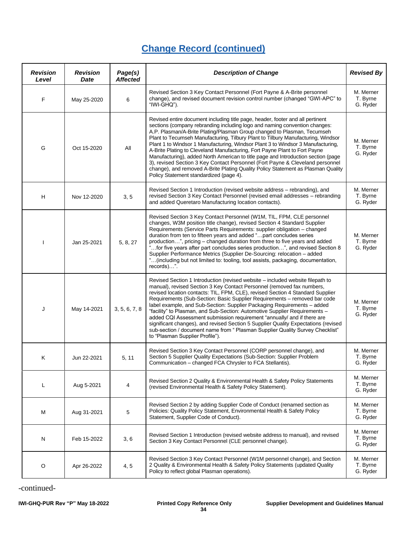| <b>Revision</b><br>Level | <b>Revision</b><br>Date | Page(s)<br><b>Affected</b> | <b>Description of Change</b>                                                                                                                                                                                                                                                                                                                                                                                                                                                                                                                                                                                                                                                                                                                                                                      | <b>Revised By</b>                 |
|--------------------------|-------------------------|----------------------------|---------------------------------------------------------------------------------------------------------------------------------------------------------------------------------------------------------------------------------------------------------------------------------------------------------------------------------------------------------------------------------------------------------------------------------------------------------------------------------------------------------------------------------------------------------------------------------------------------------------------------------------------------------------------------------------------------------------------------------------------------------------------------------------------------|-----------------------------------|
| F                        | May 25-2020             | 6                          | Revised Section 3 Key Contact Personnel (Fort Payne & A-Brite personnel<br>change), and revised document revision control number (changed "GWI-APC" to<br>"IWI-GHQ").                                                                                                                                                                                                                                                                                                                                                                                                                                                                                                                                                                                                                             | M. Merner<br>T. Byrne<br>G. Ryder |
| G                        | Oct 15-2020             | All                        | Revised entire document including title page, header, footer and all pertinent<br>sections (company rebranding including logo and naming convention changes:<br>A.P. Plasman/A-Brite Plating/Plasman Group changed to Plasman, Tecumseh<br>Plant to Tecumseh Manufacturing, Tilbury Plant to Tilbury Manufacturing, Windsor<br>Plant 1 to Windsor 1 Manufacturing, Windsor Plant 3 to Windsor 3 Manufacturing,<br>A-Brite Plating to Cleveland Manufacturing, Fort Payne Plant to Fort Payne<br>Manufacturing), added North American to title page and Introduction section (page<br>3), revised Section 3 Key Contact Personnel (Fort Payne & Cleveland personnel<br>change), and removed A-Brite Plating Quality Policy Statement as Plasman Quality<br>Policy Statement standardized (page 4). | M. Merner<br>T. Byrne<br>G. Ryder |
| H                        | Nov 12-2020             | 3, 5                       | Revised Section 1 Introduction (revised website address - rebranding), and<br>revised Section 3 Key Contact Personnel (revised email addresses - rebranding<br>and added Queretaro Manufacturing location contacts).                                                                                                                                                                                                                                                                                                                                                                                                                                                                                                                                                                              | M. Merner<br>T. Byrne<br>G. Ryder |
| I                        | Jan 25-2021             | 5, 8, 27                   | Revised Section 3 Key Contact Personnel (W1M, TIL, FPM, CLE personnel<br>changes, W3M position title change), revised Section 4 Standard Supplier<br>Requirements (Service Parts Requirements: supplier obligation - changed<br>duration from ten to fifteen years and added " part concludes series<br>production", pricing - changed duration from three to five years and added<br>for five years after part concludes series production", and revised Section 8<br>Supplier Performance Metrics (Supplier De-Sourcing: relocation - added<br>"(including but not limited to: tooling, tool assists, packaging, documentation,<br>records)".                                                                                                                                                   | M. Merner<br>T. Byrne<br>G. Ryder |
| J                        | May 14-2021             | 3, 5, 6, 7, 8              | Revised Section 1 Introduction (revised website – included website filepath to<br>manual), revised Section 3 Key Contact Personnel (removed fax numbers,<br>revised location contacts: TIL, FPM, CLE), revised Section 4 Standard Supplier<br>Requirements (Sub-Section: Basic Supplier Requirements - removed bar code<br>label example, and Sub-Section: Supplier Packaging Requirements - added<br>"facility" to Plasman, and Sub-Section: Automotive Supplier Requirements -<br>added CQI Assessment submission requirement "annually/ and if there are<br>significant changes), and revised Section 5 Supplier Quality Expectations (revised<br>sub-section / document name from " Plasman Supplier Quality Survey Checklist"<br>to "Plasman Supplier Profile").                             | M. Merner<br>T. Byrne<br>G. Ryder |
| Κ                        | Jun 22-2021             | 5, 11                      | Revised Section 3 Key Contact Personnel (CORP personnel change), and<br>Section 5 Supplier Quality Expectations (Sub-Section: Supplier Problem<br>Communication - changed FCA Chrysler to FCA Stellantis).                                                                                                                                                                                                                                                                                                                                                                                                                                                                                                                                                                                        | M. Merner<br>T. Byrne<br>G. Ryder |
| L                        | Aug 5-2021              | 4                          | Revised Section 2 Quality & Environmental Health & Safety Policy Statements<br>(revised Environmental Health & Safety Policy Statement).                                                                                                                                                                                                                                                                                                                                                                                                                                                                                                                                                                                                                                                          | M. Merner<br>T. Byrne<br>G. Ryder |
| М                        | Aug 31-2021             | 5                          | Revised Section 2 by adding Supplier Code of Conduct (renamed section as<br>Policies: Quality Policy Statement, Environmental Health & Safety Policy<br>Statement, Supplier Code of Conduct).                                                                                                                                                                                                                                                                                                                                                                                                                                                                                                                                                                                                     | M. Merner<br>T. Byrne<br>G. Ryder |
| N                        | Feb 15-2022             | 3, 6                       | Revised Section 1 Introduction (revised website address to manual), and revised<br>Section 3 Key Contact Personnel (CLE personnel change).                                                                                                                                                                                                                                                                                                                                                                                                                                                                                                                                                                                                                                                        | M. Merner<br>T. Byrne<br>G. Ryder |
| O                        | Apr 26-2022             | 4, 5                       | Revised Section 3 Key Contact Personnel (W1M personnel change), and Section<br>2 Quality & Environmental Health & Safety Policy Statements (updated Quality<br>Policy to reflect global Plasman operations).                                                                                                                                                                                                                                                                                                                                                                                                                                                                                                                                                                                      | M. Merner<br>T. Byrne<br>G. Ryder |